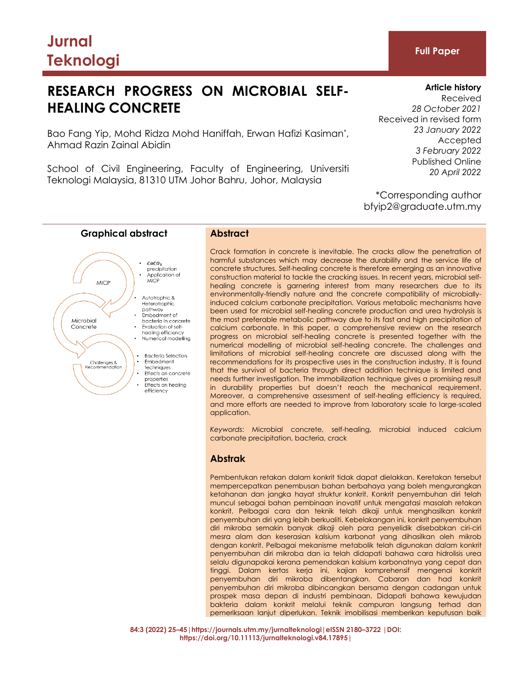# **Jurnal Teknologi Full Paper**

# **RESEARCH PROGRESS ON MICROBIAL SELF-HEALING CONCRETE**

Bao Fang Yip, Mohd Ridza Mohd Haniffah, Erwan Hafizi Kasiman\* , Ahmad Razin Zainal Abidin

School of Civil Engineering, Faculty of Engineering, Universiti Teknologi Malaysia, 81310 UTM Johor Bahru, Johor, Malaysia

# **Article history** Received *28 October 2021* Received in revised form *23 January 2022* Accepted *3 February 2022*

Published Online *20 April 2022*

\*Corresponding author bfyip2@graduate.utm.my



Crack formation in concrete is inevitable. The cracks allow the penetration of harmful substances which may decrease the durability and the service life of concrete structures. Self-healing concrete is therefore emerging as an innovative construction material to tackle the cracking issues. In recent years, microbial selfhealing concrete is garnering interest from many researchers due to its environmentally-friendly nature and the concrete compatibility of microbiallyinduced calcium carbonate precipitation. Various metabolic mechanisms have been used for microbial self-healing concrete production and urea hydrolysis is the most preferable metabolic pathway due to its fast and high precipitation of calcium carbonate. In this paper, a comprehensive review on the research progress on microbial self-healing concrete is presented together with the numerical modelling of microbial self-healing concrete. The challenges and limitations of microbial self-healing concrete are discussed along with the recommendations for its prospective uses in the construction industry. It is found that the survival of bacteria through direct addition technique is limited and needs further investigation. The immobilization technique gives a promising result in durability properties but doesn't reach the mechanical requirement. Moreover, a comprehensive assessment of self-healing efficiency is required, and more efforts are needed to improve from laboratory scale to large-scaled application.

*Keywords*: Microbial concrete, self-healing, microbial induced calcium carbonate precipitation, bacteria, crack

# **Abstrak**

Pembentukan retakan dalam konkrit tidak dapat dielakkan. Keretakan tersebut mempercepatkan penembusan bahan berbahaya yang boleh mengurangkan ketahanan dan jangka hayat struktur konkrit. Konkrit penyembuhan diri telah muncul sebagai bahan pembinaan inovatif untuk mengatasi masalah retakan konkrit. Pelbagai cara dan teknik telah dikaji untuk menghasilkan konkrit penyembuhan diri yang lebih berkualiti. Kebelakangan ini, konkrit penyembuhan diri mikroba semakin banyak dikaji oleh para penyelidik disebabkan ciri-ciri mesra alam dan keserasian kalsium karbonat yang dihasilkan oleh mikrob dengan konkrit. Pelbagai mekanisme metabolik telah digunakan dalam konkrit penyembuhan diri mikroba dan ia telah didapati bahawa cara hidrolisis urea selalu digunapakai kerana pemendakan kalsium karbonatnya yang cepat dan tinggi. Dalam kertas kerja ini, kajian komprehensif mengenai konkrit penyembuhan diri mikroba dibentangkan. Cabaran dan had konkrit penyembuhan diri mikroba dibincangkan bersama dengan cadangan untuk prospek masa depan di industri pembinaan. Didapati bahawa kewujudan bakteria dalam konkrit melalui teknik campuran langsung terhad dan pemeriksaan lanjut diperlukan. Teknik imobilisasi memberikan keputusan baik

**84:3 (2022) 25–45|https://journals.utm.my/jurnalteknologi|eISSN 2180–3722 |DOI: https://doi.org/10.11113/jurnalteknologi.v84.17895|**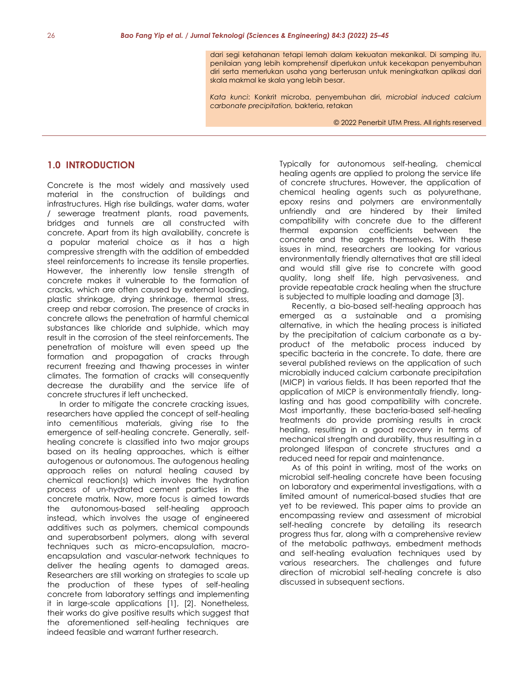dari segi ketahanan tetapi lemah dalam kekuatan mekanikal. Di samping itu, penilaian yang lebih komprehensif diperlukan untuk kecekapan penyembuhan diri serta memerlukan usaha yang berterusan untuk meningkatkan aplikasi dari skala makmal ke skala yang lebih besar.

*Kata kunci*: Konkrit microba, penyembuhan diri, *microbial induced calcium carbonate precipitation,* bakteria, retakan

© 2022 Penerbit UTM Press. All rights reserved

# **1.0 INTRODUCTION**

Concrete is the most widely and massively used material in the construction of buildings and infrastructures. High rise buildings, water dams, water / sewerage treatment plants, road pavements, bridges and tunnels are all constructed with concrete. Apart from its high availability, concrete is a popular material choice as it has a high compressive strength with the addition of embedded steel reinforcements to increase its tensile properties. However, the inherently low tensile strength of concrete makes it vulnerable to the formation of cracks, which are often caused by external loading, plastic shrinkage, drying shrinkage, thermal stress, creep and rebar corrosion. The presence of cracks in concrete allows the penetration of harmful chemical substances like chloride and sulphide, which may result in the corrosion of the steel reinforcements. The penetration of moisture will even speed up the formation and propagation of cracks through recurrent freezing and thawing processes in winter climates. The formation of cracks will consequently decrease the durability and the service life of concrete structures if left unchecked.

In order to mitigate the concrete cracking issues, researchers have applied the concept of self-healing into cementitious materials, giving rise to the emergence of self-healing concrete. Generally, selfhealing concrete is classified into two major groups based on its healing approaches, which is either autogenous or autonomous. The autogenous healing approach relies on natural healing caused by chemical reaction(s) which involves the hydration process of un-hydrated cement particles in the concrete matrix. Now, more focus is aimed towards the autonomous-based self-healing approach instead, which involves the usage of engineered additives such as polymers, chemical compounds and superabsorbent polymers, along with several techniques such as micro-encapsulation, macroencapsulation and vascular-network techniques to deliver the healing agents to damaged areas. Researchers are still working on strategies to scale up the production of these types of self-healing concrete from laboratory settings and implementing it in large-scale applications [1], [2]. Nonetheless, their works do give positive results which suggest that the aforementioned self-healing techniques are indeed feasible and warrant further research.

Typically for autonomous self-healing, chemical healing agents are applied to prolong the service life of concrete structures. However, the application of chemical healing agents such as polyurethane, epoxy resins and polymers are environmentally unfriendly and are hindered by their limited compatibility with concrete due to the different thermal expansion coefficients between the concrete and the agents themselves. With these issues in mind, researchers are looking for various environmentally friendly alternatives that are still ideal and would still give rise to concrete with good quality, long shelf life, high pervasiveness, and provide repeatable crack healing when the structure is subjected to multiple loading and damage [3].

Recently, a bio-based self-healing approach has emerged as a sustainable and a promising alternative, in which the healing process is initiated by the precipitation of calcium carbonate as a byproduct of the metabolic process induced by specific bacteria in the concrete. To date, there are several published reviews on the application of such microbially induced calcium carbonate precipitation (MICP) in various fields. It has been reported that the application of MICP is environmentally friendly, longlasting and has good compatibility with concrete. Most importantly, these bacteria-based self-healing treatments do provide promising results in crack healing, resulting in a good recovery in terms of mechanical strength and durability, thus resulting in a prolonged lifespan of concrete structures and a reduced need for repair and maintenance.

As of this point in writing, most of the works on microbial self-healing concrete have been focusing on laboratory and experimental investigations, with a limited amount of numerical-based studies that are yet to be reviewed. This paper aims to provide an encompassing review and assessment of microbial self-healing concrete by detailing its research progress thus far, along with a comprehensive review of the metabolic pathways, embedment methods and self-healing evaluation techniques used by various researchers. The challenges and future direction of microbial self-healing concrete is also discussed in subsequent sections.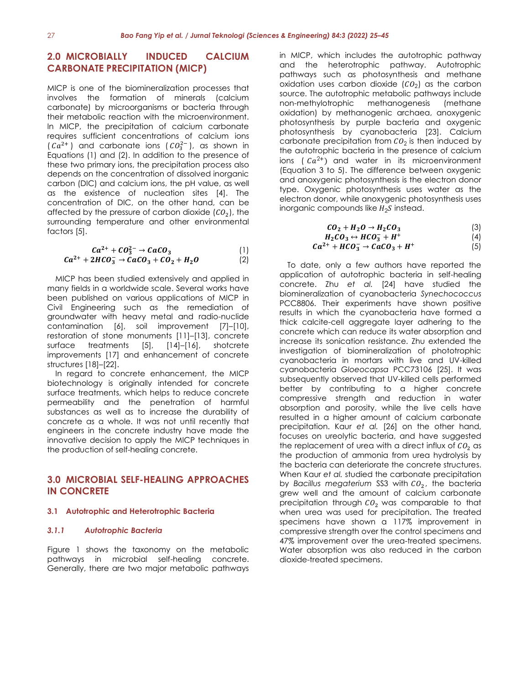# **2.0 MICROBIALLY INDUCED CALCIUM CARBONATE PRECIPITATION (MICP)**

MICP is one of the biomineralization processes that involves the formation of minerals (calcium carbonate) by microorganisms or bacteria through their metabolic reaction with the microenvironment. In MICP, the precipitation of calcium carbonate requires sufficient concentrations of calcium ions  $(Ca^{2+})$  and carbonate ions  $(CO_3^{2-})$ , as shown in Equations (1) and (2). In addition to the presence of these two primary ions, the precipitation process also depends on the concentration of dissolved inorganic carbon (DIC) and calcium ions, the pH value, as well as the existence of nucleation sites [4]. The concentration of DIC, on the other hand, can be affected by the pressure of carbon dioxide  $(CO<sub>2</sub>)$ , the surrounding temperature and other environmental factors [5].

$$
Ca^{2+} + CO_3^{2-} \rightarrow CaCO_3
$$
  
\n
$$
Ca^{2+} + 2HCO_3^{-} \rightarrow CaCO_3 + CO_2 + H_2O
$$
\n(1)

MICP has been studied extensively and applied in many fields in a worldwide scale. Several works have been published on various applications of MICP in Civil Engineering such as the remediation of groundwater with heavy metal and radio-nuclide contamination [6], soil improvement [7]–[10], restoration of stone monuments [11]–[13], concrete surface treatments [5], [14]–[16], shotcrete improvements [17] and enhancement of concrete structures [18]–[22].

In regard to concrete enhancement, the MICP biotechnology is originally intended for concrete surface treatments, which helps to reduce concrete permeability and the penetration of harmful substances as well as to increase the durability of concrete as a whole. It was not until recently that engineers in the concrete industry have made the innovative decision to apply the MICP techniques in the production of self-healing concrete.

# **3.0 MICROBIAL SELF-HEALING APPROACHES IN CONCRETE**

#### **3.1 Autotrophic and Heterotrophic Bacteria**

#### *3.1.1 Autotrophic Bacteria*

Figure 1 shows the taxonomy on the metabolic pathways in microbial self-healing concrete. Generally, there are two major metabolic pathways in MICP, which includes the autotrophic pathway and the heterotrophic pathway. Autotrophic pathways such as photosynthesis and methane oxidation uses carbon dioxide ( ${\cal CO}_2$ ) as the carbon source. The autotrophic metabolic pathways include non-methylotrophic methanogenesis (methane oxidation) by methanogenic archaea, anoxygenic photosynthesis by purple bacteria and oxygenic photosynthesis by cyanobacteria [23]. Calcium carbonate precipitation from  $co_2$  is then induced by the autotrophic bacteria in the presence of calcium ions ( $Ca^{2+}$ ) and water in its microenvironment (Equation 3 to 5). The difference between oxygenic and anoxygenic photosynthesis is the electron donor type. Oxygenic photosynthesis uses water as the electron donor, while anoxygenic photosynthesis uses inorganic compounds like  $H_2 S$  instead.

$$
CO_2 + H_2O \rightarrow H_2CO_3 \tag{3}
$$

$$
H_2CO_3 \leftrightarrow HCO_3^- + H^+ \tag{4}
$$
  
\n
$$
Ca^{2+} + HCO_3^- \rightarrow CaCO_3 + H^+ \tag{5}
$$

To date, only a few authors have reported the application of autotrophic bacteria in self-healing concrete. Zhu *et al.* [24] have studied the biomineralization of cyanobacteria *Synechococcus* PCC8806. Their experiments have shown positive results in which the cyanobacteria have formed a thick calcite-cell aggregate layer adhering to the concrete which can reduce its water absorption and increase its sonication resistance. Zhu extended the investigation of biomineralization of phototrophic cyanobacteria in mortars with live and UV-killed cyanobacteria *Gloeocapsa* PCC73106 [25]. It was subsequently observed that UV-killed cells performed better by contributing to a higher concrete compressive strength and reduction in water absorption and porosity, while the live cells have resulted in a higher amount of calcium carbonate precipitation. Kaur *et al.* [26] on the other hand, focuses on ureolytic bacteria, and have suggested the replacement of urea with a direct influx of  $CO<sub>2</sub>$  as the production of ammonia from urea hydrolysis by the bacteria can deteriorate the concrete structures. When Kaur *et al.* studied the carbonate precipitation by *Bacillus megaterium* SS3 with  $CO<sub>2</sub>$ , the bacteria grew well and the amount of calcium carbonate precipitation through  $CO<sub>2</sub>$  was comparable to that when urea was used for precipitation. The treated specimens have shown a 117% improvement in compressive strength over the control specimens and 47% improvement over the urea-treated specimens. Water absorption was also reduced in the carbon dioxide-treated specimens.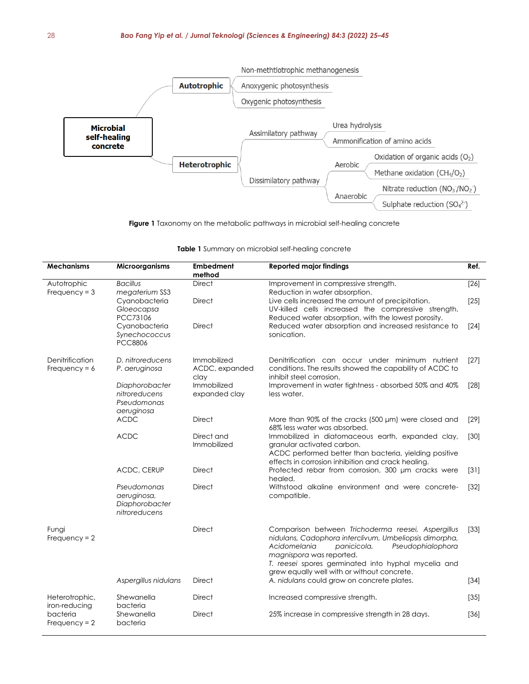

**Figure 1** Taxonomy on the metabolic pathways in microbial self-healing concrete

| <b>Mechanisms</b>                  | Microorganisms                                                | <b>Embedment</b><br>method            | <b>Reported major findings</b>                                                                                                                                                                                                                                                                     | Ref.   |
|------------------------------------|---------------------------------------------------------------|---------------------------------------|----------------------------------------------------------------------------------------------------------------------------------------------------------------------------------------------------------------------------------------------------------------------------------------------------|--------|
| Autotrophic<br>Frequency = $3$     | <b>Bacillus</b><br>megaterium SS3                             | <b>Direct</b>                         | Improvement in compressive strength.<br>Reduction in water absorption.                                                                                                                                                                                                                             | $[26]$ |
|                                    | Cyanobacteria<br>Gloeocapsa<br>PCC73106                       | <b>Direct</b>                         | Live cells increased the amount of precipitation.<br>UV-killed cells increased the compressive strength.<br>Reduced water absorption, with the lowest porosity.                                                                                                                                    | $[25]$ |
|                                    | Cyanobacteria<br>Synechococcus<br><b>PCC8806</b>              | <b>Direct</b>                         | Reduced water absorption and increased resistance to<br>sonication.                                                                                                                                                                                                                                | $[24]$ |
| Denitrification<br>Frequency = $6$ | D. nitroreducens<br>P. aeruginosa                             | Immobilized<br>ACDC, expanded<br>clay | Denitrification can occur under minimum nutrient<br>conditions. The results showed the capability of ACDC to<br>inhibit steel corrosion.                                                                                                                                                           | $[27]$ |
|                                    | Diaphorobacter<br>nitroreducens<br>Pseudomonas<br>aeruginosa  | Immobilized<br>expanded clay          | Improvement in water tightness - absorbed 50% and 40%<br>less water.                                                                                                                                                                                                                               | [28]   |
|                                    | <b>ACDC</b>                                                   | <b>Direct</b>                         | More than 90% of the cracks (500 µm) were closed and<br>68% less water was absorbed.                                                                                                                                                                                                               | $[29]$ |
|                                    | <b>ACDC</b>                                                   | Direct and<br>Immobilized             | Immobilized in diatomaceous earth, expanded clay,<br>granular activated carbon.<br>ACDC performed better than bacteria, yielding positive<br>effects in corrosion inhibition and crack healing.                                                                                                    | $[30]$ |
|                                    | ACDC, CERUP                                                   | <b>Direct</b>                         | Protected rebar from corrosion, 300 µm cracks were<br>healed.                                                                                                                                                                                                                                      | $[31]$ |
|                                    | Pseudomonas<br>aeruginosa,<br>Diaphorobacter<br>nitroreducens | <b>Direct</b>                         | Withstood alkaline environment and were concrete-<br>compatible.                                                                                                                                                                                                                                   | $[32]$ |
| Fungi<br>Frequency = $2$           |                                                               | <b>Direct</b>                         | Comparison between Trichoderma reesei, Aspergillus<br>nidulans, Cadophora interclivum, Umbeliopsis dimorpha,<br>Acidomelania<br>Pseudophialophora<br>panicicola,<br>magnispora was reported.<br>T. reesei spores germinated into hyphal mycelia and<br>grew equally well with or without concrete. | $[33]$ |
|                                    | Aspergillus nidulans                                          | <b>Direct</b>                         | A. nidulans could grow on concrete plates.                                                                                                                                                                                                                                                         | $[34]$ |
| Heterotrophic,<br>iron-reducing    | Shewanella<br>bacteria                                        | <b>Direct</b>                         | Increased compressive strength.                                                                                                                                                                                                                                                                    | $[35]$ |
| bacteria<br>$Frequency = 2$        | Shewanella<br>bacteria                                        | <b>Direct</b>                         | 25% increase in compressive strength in 28 days.                                                                                                                                                                                                                                                   | $[36]$ |

**Table 1** Summary on microbial self-healing concrete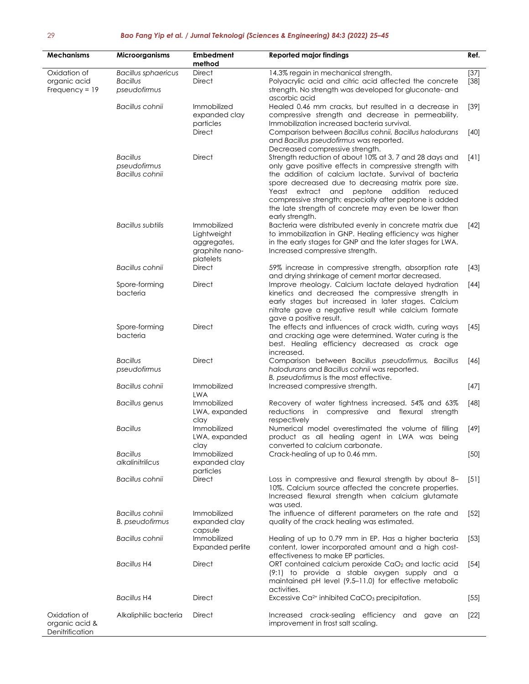| <b>Mechanisms</b>                                 | Microorganisms                                                | <b>Embedment</b><br>method                                               | <b>Reported major findings</b>                                                                                                                                                                                                                                                                                                                                                                                         | Ref.             |
|---------------------------------------------------|---------------------------------------------------------------|--------------------------------------------------------------------------|------------------------------------------------------------------------------------------------------------------------------------------------------------------------------------------------------------------------------------------------------------------------------------------------------------------------------------------------------------------------------------------------------------------------|------------------|
| Oxidation of<br>organic acid<br>Frequency = $19$  | <b>Bacillus sphaericus</b><br><b>Bacillus</b><br>pseudofirmus | <b>Direct</b><br><b>Direct</b>                                           | 14.3% regain in mechanical strength.<br>Polyacrylic acid and citric acid affected the concrete<br>strength. No strength was developed for gluconate- and<br>ascorbic acid                                                                                                                                                                                                                                              | $[37]$<br>$[38]$ |
|                                                   | Bacillus cohnii                                               | Immobilized<br>expanded clay<br>particles                                | Healed 0.46 mm cracks, but resulted in a decrease in<br>compressive strength and decrease in permeability.<br>Immobilization increased bacteria survival.                                                                                                                                                                                                                                                              | $[39]$           |
|                                                   |                                                               | <b>Direct</b>                                                            | Comparison between Bacillus cohnii, Bacillus halodurans<br>and Bacillus pseudofirmus was reported.<br>Decreased compressive strength.                                                                                                                                                                                                                                                                                  | $[40]$           |
|                                                   | <b>Bacillus</b><br>pseudofirmus<br>Bacillus cohnii            | <b>Direct</b>                                                            | Strength reduction of about 10% at 3, 7 and 28 days and<br>only gave positive effects in compressive strength with<br>the addition of calcium lactate. Survival of bacteria<br>spore decreased due to decreasing matrix pore size.<br>Yeast extract and peptone addition reduced<br>compressive strength; especially after peptone is added<br>the late strength of concrete may even be lower than<br>early strength. | [4]              |
|                                                   | <b>Bacillus subtilis</b>                                      | Immobilized<br>Lightweight<br>aggregates,<br>graphite nano-<br>platelets | Bacteria were distributed evenly in concrete matrix due<br>to immobilization in GNP. Healing efficiency was higher<br>in the early stages for GNP and the later stages for LWA.<br>Increased compressive strength.                                                                                                                                                                                                     | [42]             |
|                                                   | Bacillus cohnii                                               | Direct                                                                   | 59% increase in compressive strength, absorption rate<br>and drying shrinkage of cement mortar decreased.                                                                                                                                                                                                                                                                                                              | $[43]$           |
|                                                   | Spore-forming<br>bacteria                                     | <b>Direct</b>                                                            | Improve rheology. Calcium lactate delayed hydration<br>kinetics and decreased the compressive strength in<br>early stages but increased in later stages. Calcium<br>nitrate gave a negative result while calcium formate                                                                                                                                                                                               | [44]             |
|                                                   | Spore-forming<br>bacteria                                     | <b>Direct</b>                                                            | gave a positive result.<br>The effects and influences of crack width, curing ways<br>and cracking age were determined. Water curing is the<br>best. Healing efficiency decreased as crack age<br>increased.                                                                                                                                                                                                            | $[45]$           |
|                                                   | <b>Bacillus</b><br>pseudofirmus                               | <b>Direct</b>                                                            | Comparison between Bacillus pseudofirmus, Bacillus<br>halodurans and Bacillus cohnii was reported.<br>B. pseudofirmus is the most effective.                                                                                                                                                                                                                                                                           | [46]             |
|                                                   | Bacillus cohnii                                               | Immobilized<br><b>LWA</b>                                                | Increased compressive strength.                                                                                                                                                                                                                                                                                                                                                                                        | $[47]$           |
|                                                   | <b>Bacillus</b> genus                                         | Immobilized<br>LWA, expanded<br>clay                                     | Recovery of water tightness increased. 54% and 63%<br>reductions in compressive and flexural<br>strength<br>respectively                                                                                                                                                                                                                                                                                               | $[48]$           |
|                                                   | <b>Bacillus</b>                                               | Immobilized<br>LWA, expanded<br>clay                                     | Numerical model overestimated the volume of filling<br>product as all healing agent in LWA was being<br>converted to calcium carbonate.                                                                                                                                                                                                                                                                                | [49]             |
|                                                   | <b>Bacillus</b><br>alkalinitrilicus                           | Immobilized<br>expanded clay<br>particles                                | Crack-healing of up to 0.46 mm.                                                                                                                                                                                                                                                                                                                                                                                        | $[50]$           |
|                                                   | Bacillus cohnii                                               | <b>Direct</b>                                                            | Loss in compressive and flexural strength by about 8-<br>10%. Calcium source affected the concrete properties.<br>Increased flexural strength when calcium glutamate<br>was used.                                                                                                                                                                                                                                      | [5]              |
|                                                   | Bacillus cohnii<br><b>B.</b> pseudofirmus                     | Immobilized<br>expanded clay<br>capsule                                  | The influence of different parameters on the rate and<br>quality of the crack healing was estimated.                                                                                                                                                                                                                                                                                                                   | $[52]$           |
|                                                   | Bacillus cohnii                                               | Immobilized<br><b>Expanded perlite</b>                                   | Healing of up to 0.79 mm in EP. Has a higher bacteria<br>content, lower incorporated amount and a high cost-<br>effectiveness to make EP particles.                                                                                                                                                                                                                                                                    | $[53]$           |
|                                                   | <b>Bacillus H4</b>                                            | Direct                                                                   | ORT contained calcium peroxide CaO <sub>2</sub> and lactic acid<br>$(9:1)$ to provide a stable oxygen supply and a<br>maintained pH level (9.5–11.0) for effective metabolic<br>activities.                                                                                                                                                                                                                            | $[54]$           |
|                                                   | <b>Bacillus H4</b>                                            | Direct                                                                   | Excessive Ca <sup>2+</sup> inhibited CaCO <sub>3</sub> precipitation.                                                                                                                                                                                                                                                                                                                                                  | $[55]$           |
| Oxidation of<br>organic acid &<br>Denitrification | Alkaliphilic bacteria                                         | Direct                                                                   | Increased crack-sealing efficiency and<br>gave<br>an<br>improvement in frost salt scaling.                                                                                                                                                                                                                                                                                                                             | $[22]$           |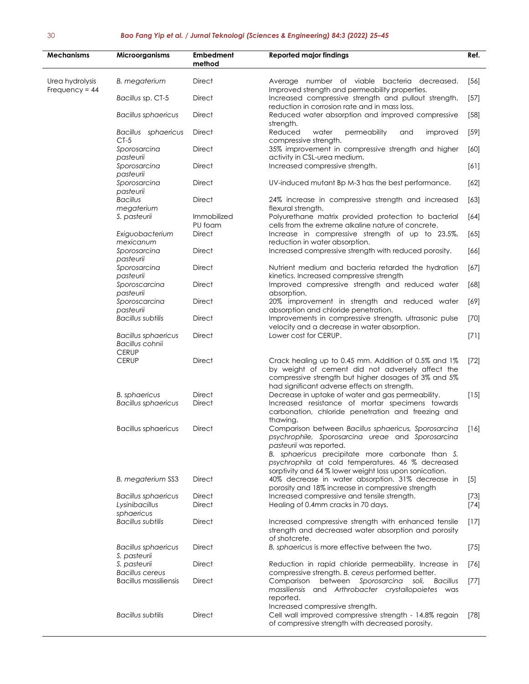| <b>Mechanisms</b>                   | Microorganisms                                                | <b>Embedment</b><br>method | <b>Reported major findings</b>                                                                                                                                                                                                                                                                          | Ref.             |
|-------------------------------------|---------------------------------------------------------------|----------------------------|---------------------------------------------------------------------------------------------------------------------------------------------------------------------------------------------------------------------------------------------------------------------------------------------------------|------------------|
| Urea hydrolysis<br>Frequency = $44$ | <b>B.</b> megaterium                                          | <b>Direct</b>              | Average number of viable bacteria decreased.<br>Improved strength and permeability properties.                                                                                                                                                                                                          | $[56]$           |
|                                     | Bacillus sp. CT-5                                             | <b>Direct</b>              | Increased compressive strength and pullout strength,<br>reduction in corrosion rate and in mass loss.                                                                                                                                                                                                   | $[57]$           |
|                                     | <b>Bacillus sphaericus</b>                                    | <b>Direct</b>              | Reduced water absorption and improved compressive<br>strength.                                                                                                                                                                                                                                          | $[58]$           |
|                                     | Bacillus sphaericus<br>$CT-5$                                 | <b>Direct</b>              | Reduced<br>water<br>permeability<br>improved<br>and<br>compressive strength.                                                                                                                                                                                                                            | $[59]$           |
|                                     | Sporosarcina<br>pasteurii                                     | <b>Direct</b>              | 35% improvement in compressive strength and higher<br>activity in CSL-urea medium.                                                                                                                                                                                                                      | [60]             |
|                                     | Sporosarcina<br>pasteurii                                     | Direct                     | Increased compressive strength.                                                                                                                                                                                                                                                                         | [61]             |
|                                     | Sporosarcina<br>pasteurii                                     | <b>Direct</b>              | UV-induced mutant Bp M-3 has the best performance.                                                                                                                                                                                                                                                      | $[62]$           |
|                                     | <b>Bacillus</b><br>megaterium                                 | Direct                     | 24% increase in compressive strength and increased<br>flexural strength.                                                                                                                                                                                                                                | $[63]$           |
|                                     | S. pasteurii                                                  | Immobilized<br>PU foam     | Polyurethane matrix provided protection to bacterial<br>cells from the extreme alkaline nature of concrete.                                                                                                                                                                                             | $[64]$           |
|                                     | Exiguobacterium<br>mexicanum                                  | <b>Direct</b>              | Increase in compressive strength of up to 23.5%,<br>reduction in water absorption.                                                                                                                                                                                                                      | $[65]$           |
|                                     | Sporosarcina<br>pasteurii                                     | <b>Direct</b>              | Increased compressive strength with reduced porosity.                                                                                                                                                                                                                                                   | [66]             |
|                                     | Sporosarcina<br>pasteurii                                     | <b>Direct</b>              | Nutrient medium and bacteria retarded the hydration<br>kinetics. Increased compressive strength                                                                                                                                                                                                         | $[67]$           |
|                                     | Sporoscarcina<br>pasteurii                                    | <b>Direct</b>              | Improved compressive strength and reduced water<br>absorption.                                                                                                                                                                                                                                          | [68]             |
|                                     | Sporoscarcina                                                 | <b>Direct</b>              | 20% improvement in strength and reduced water                                                                                                                                                                                                                                                           | $[69]$           |
|                                     | pasteurii<br><b>Bacillus subtilis</b>                         | Direct                     | absorption and chloride penetration.<br>Improvements in compressive strength, ultrasonic pulse                                                                                                                                                                                                          | $[70]$           |
|                                     | <b>Bacillus sphaericus</b><br>Bacillus cohnii<br><b>CERUP</b> | <b>Direct</b>              | velocity and a decrease in water absorption.<br>Lower cost for CERUP.                                                                                                                                                                                                                                   | $[71]$           |
|                                     | <b>CERUP</b>                                                  | <b>Direct</b>              | Crack healing up to 0.45 mm. Addition of 0.5% and 1%<br>by weight of cement did not adversely affect the<br>compressive strength but higher dosages of 3% and 5%<br>had significant adverse effects on strength.                                                                                        | $[72]$           |
|                                     | <b>B.</b> sphaericus<br><b>Bacillus sphaericus</b>            | <b>Direct</b><br>Direct    | Decrease in uptake of water and gas permeability.<br>Increased resistance of mortar specimens towards<br>carbonation, chloride penetration and freezing and<br>thawing.                                                                                                                                 | $[15]$           |
|                                     | <b>Bacillus sphaericus</b>                                    | <b>Direct</b>              | Comparison between Bacillus sphaericus, Sporosarcina<br>psychrophile, Sporosarcina ureae and Sporosarcina<br>pasteurii was reported.<br>B. sphaericus precipitate more carbonate than S.<br>psychrophila at cold temperatures. 46 % decreased<br>sorptivity and 64 % lower weight loss upon sonication. | $[16]$           |
|                                     | B. megaterium SS3                                             | Direct                     | 40% decrease in water absorption. 31% decrease in<br>porosity and 18% increase in compressive strength                                                                                                                                                                                                  | $[5]$            |
|                                     | <b>Bacillus sphaericus</b><br>Lysinibacillus<br>sphaericus    | Direct<br><b>Direct</b>    | Increased compressive and tensile strength.<br>Healing of 0.4mm cracks in 70 days.                                                                                                                                                                                                                      | $[73]$<br>$[74]$ |
|                                     | <b>Bacillus subtilis</b>                                      | <b>Direct</b>              | Increased compressive strength with enhanced tensile<br>strength and decreased water absorption and porosity<br>of shotcrete.                                                                                                                                                                           | $[17]$           |
|                                     | Bacillus sphaericus<br>S. pasteurii                           | Direct                     | B. sphaericus is more effective between the two.                                                                                                                                                                                                                                                        | $[75]$           |
|                                     | S. pasteurii<br><b>Bacillus cereus</b>                        | Direct                     | Reduction in rapid chloride permeability. Increase in<br>compressive strength. B. cereus performed better.                                                                                                                                                                                              | $[76]$           |
|                                     | <b>Bacillus massiliensis</b>                                  | <b>Direct</b>              | Comparison<br>between Sporosarcina<br>soli,<br><b>Bacillus</b><br>massiliensis and Arthrobacter crystallopoietes was<br>reported.                                                                                                                                                                       | $[77]$           |
|                                     | <b>Bacillus subtilis</b>                                      | <b>Direct</b>              | Increased compressive strength.<br>Cell wall improved compressive strength - 14.8% regain<br>of compressive strength with decreased porosity.                                                                                                                                                           | $[78]$           |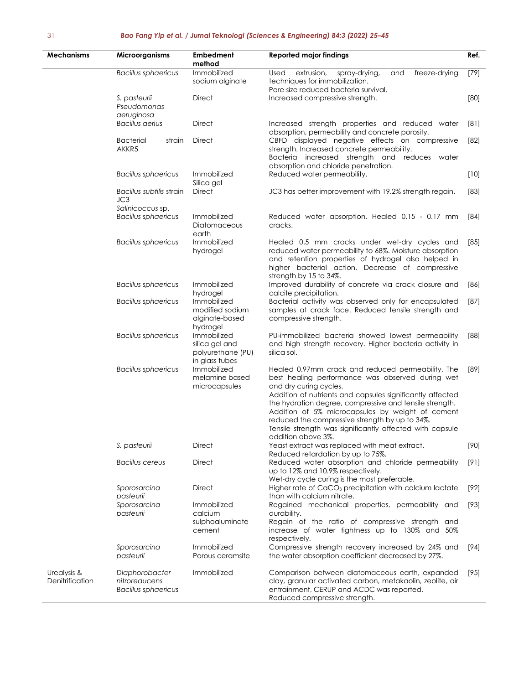| <b>Mechanisms</b>              | <b>Microorganisms</b>                                         | Embedment<br>method                                                  | <b>Reported major findings</b>                                                                                                                                                                                                                                                                                                                                                                                                                  | Ref.   |
|--------------------------------|---------------------------------------------------------------|----------------------------------------------------------------------|-------------------------------------------------------------------------------------------------------------------------------------------------------------------------------------------------------------------------------------------------------------------------------------------------------------------------------------------------------------------------------------------------------------------------------------------------|--------|
|                                | <b>Bacillus sphaericus</b>                                    | Immobilized<br>sodium alginate                                       | extrusion.<br>Used<br>spray-drying,<br>and<br>freeze-drying<br>techniques for immobilization.<br>Pore size reduced bacteria survival.                                                                                                                                                                                                                                                                                                           | $[79]$ |
|                                | S. pasteurii<br>Pseudomonas<br>aeruginosa                     | Direct                                                               | Increased compressive strength.                                                                                                                                                                                                                                                                                                                                                                                                                 | [80]   |
|                                | <b>Bacillus aerius</b>                                        | Direct                                                               | Increased strength properties and reduced water<br>absorption, permeability and concrete porosity.                                                                                                                                                                                                                                                                                                                                              | [8]    |
|                                | <b>Bacterial</b><br>strain<br>AKKR5                           | Direct                                                               | CBFD displayed negative effects on compressive<br>strength. Increased concrete permeability.<br>Bacteria increased strength and<br>reduces water<br>absorption and chloride penetration.                                                                                                                                                                                                                                                        | $[82]$ |
|                                | <b>Bacillus sphaericus</b>                                    | Immobilized<br>Silica gel                                            | Reduced water permeability.                                                                                                                                                                                                                                                                                                                                                                                                                     | $[10]$ |
|                                | Bacillus subtilis strain<br>JC3<br>Salinicoccus sp.           | <b>Direct</b>                                                        | JC3 has better improvement with 19.2% strength regain.                                                                                                                                                                                                                                                                                                                                                                                          | $[83]$ |
|                                | <b>Bacillus sphaericus</b>                                    | Immobilized<br>Diatomaceous<br>earth                                 | Reduced water absorption. Healed 0.15 - 0.17 mm<br>cracks.                                                                                                                                                                                                                                                                                                                                                                                      | $[84]$ |
|                                | <b>Bacillus sphaericus</b>                                    | Immobilized<br>hydrogel                                              | Healed 0.5 mm cracks under wet-dry cycles and<br>reduced water permeability to 68%. Moisture absorption<br>and retention properties of hydrogel also helped in<br>higher bacterial action. Decrease of compressive<br>strength by 15 to 34%.                                                                                                                                                                                                    | $[85]$ |
|                                | <b>Bacillus sphaericus</b>                                    | Immobilized<br>hydrogel                                              | Improved durability of concrete via crack closure and<br>calcite precipitation.                                                                                                                                                                                                                                                                                                                                                                 | [86]   |
|                                | <b>Bacillus sphaericus</b>                                    | Immobilized<br>modified sodium<br>alginate-based<br>hydrogel         | Bacterial activity was observed only for encapsulated<br>samples at crack face. Reduced tensile strength and<br>compressive strength.                                                                                                                                                                                                                                                                                                           | $[87]$ |
|                                | <b>Bacillus sphaericus</b>                                    | Immobilized<br>silica gel and<br>polyurethane (PU)<br>in glass tubes | PU-immobilized bacteria showed lowest permeability<br>and high strength recovery. Higher bacteria activity in<br>silica sol.                                                                                                                                                                                                                                                                                                                    | $[88]$ |
|                                | <b>Bacillus sphaericus</b>                                    | Immobilized<br>melamine based<br>microcapsules                       | Healed 0.97mm crack and reduced permeability. The<br>best healing performance was observed during wet<br>and dry curing cycles.<br>Addition of nutrients and capsules significantly affected<br>the hydration degree, compressive and tensile strength.<br>Addition of 5% microcapsules by weight of cement<br>reduced the compressive strength by up to 34%.<br>Tensile strength was significantly affected with capsule<br>addition above 3%. | [89]   |
|                                | S. pasteurii                                                  | Direct                                                               | Yeast extract was replaced with meat extract.<br>Reduced retardation by up to 75%.                                                                                                                                                                                                                                                                                                                                                              | $[90]$ |
|                                | Bacillus cereus                                               | Direct                                                               | Reduced water absorption and chloride permeability<br>up to 12% and 10.9% respectively.<br>Wet-dry cycle curing is the most preferable.                                                                                                                                                                                                                                                                                                         | $[9]$  |
|                                | Sporosarcina<br>pasteurii                                     | Direct                                                               | Higher rate of CaCO <sub>3</sub> precipitation with calcium lactate<br>than with calcium nitrate.                                                                                                                                                                                                                                                                                                                                               | $[92]$ |
|                                | Sporosarcina<br>pasteurii                                     | Immobilized<br>calcium<br>sulphoaluminate<br>cement                  | Regained mechanical properties, permeability and<br>durability.<br>Regain of the ratio of compressive strength and<br>increase of water tightness up to 130% and 50%<br>respectively.                                                                                                                                                                                                                                                           | $[93]$ |
|                                | Sporosarcina<br>pasteurii                                     | Immobilized<br>Porous ceramsite                                      | Compressive strength recovery increased by 24% and<br>the water absorption coefficient decreased by 27%.                                                                                                                                                                                                                                                                                                                                        | $[94]$ |
| Urealysis &<br>Denitrification | Diaphorobacter<br>nitroreducens<br><b>Bacillus sphaericus</b> | Immobilized                                                          | Comparison between diatomaceous earth, expanded<br>clay, granular activated carbon, metakaolin, zeolite, air<br>entrainment, CERUP and ACDC was reported.<br>Reduced compressive strength.                                                                                                                                                                                                                                                      | $[95]$ |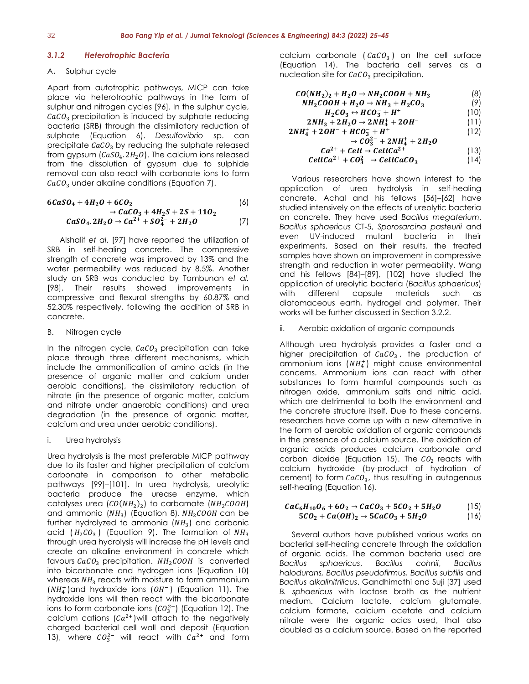#### *3.1.2 Heterotrophic Bacteria*

#### A. Sulphur cycle

Apart from autotrophic pathways, MICP can take place via heterotrophic pathways in the form of sulphur and nitrogen cycles [96]. In the sulphur cycle,  $CaCO<sub>3</sub>$  precipitation is induced by sulphate reducing bacteria (SRB) through the dissimilatory reduction of sulphate (Equation 6). *Desulfovibrio* sp. can precipitate  $CaCO<sub>3</sub>$  by reducing the sulphate released from gypsum  $(CaSO<sub>4</sub>, 2H<sub>2</sub>O)$ . The calcium ions released from the dissolution of gypsum due to sulphide removal can also react with carbonate ions to form  $CaCO<sub>3</sub>$  under alkaline conditions (Equation 7).

$$
6CaSO_4 + 4H_2O + 6CO_2
$$
\n
$$
\rightarrow CaCO_3 + 4H_2S + 2S + 11O_2
$$
\n(6)

$$
CaSO_4.2H_2O \rightarrow Ca^{2+} + SO_4^{2-} + 2H_2O \qquad (7)
$$

Alshalif *et al*. [97] have reported the utilization of SRB in self-healing concrete. The compressive strength of concrete was improved by 13% and the water permeability was reduced by 8.5%. Another study on SRB was conducted by Tambunan *et al.* [98]. Their results showed improvements in compressive and flexural strengths by 60.87% and 52.30% respectively, following the addition of SRB in concrete.

#### B. Nitrogen cycle

In the nitrogen cycle,  $CaCO<sub>3</sub>$  precipitation can take place through three different mechanisms, which include the ammonification of amino acids (in the presence of organic matter and calcium under aerobic conditions), the dissimilatory reduction of nitrate (in the presence of organic matter, calcium and nitrate under anaerobic conditions) and urea degradation (in the presence of organic matter, calcium and urea under aerobic conditions).

#### i. Urea hydrolysis

Urea hydrolysis is the most preferable MICP pathway due to its faster and higher precipitation of calcium carbonate in comparison to other metabolic pathways [99]–[101]. In urea hydrolysis, ureolytic bacteria produce the urease enzyme, which catalyses urea  $(CO(NH_2)_2)$  to carbamate  $(NH_2COOH)$ and ammonia  $(NH_3)$  (Equation 8).  $NH_2COOH$  can be further hydrolyzed to ammonia  $(NH<sub>3</sub>)$  and carbonic acid  $(H_2CO_3)$  (Equation 9). The formation of  $NH_3$ through urea hydrolysis will increase the pH levels and create an alkaline environment in concrete which favours  $CaCO<sub>3</sub>$  precipitation.  $NH<sub>2</sub>COOH$  is converted into bicarbonate and hydrogen ions (Equation 10) whereas  $NH<sub>3</sub>$  reacts with moisture to form ammonium  $(NH_4^+)$ and hydroxide ions ( $OH^-$ ) (Equation 11). The hydroxide ions will then react with the bicarbonate ions to form carbonate ions ( $CO<sub>3</sub><sup>2</sup>$ ) (Equation 12). The calcium cations  $(Ca^{2+})$  will attach to the negatively charged bacterial cell wall and deposit (Equation 13), where  $CO_3^{2-}$  will react with  $Ca^{2+}$  and form

calcium carbonate  $(cacO<sub>3</sub>)$  on the cell surface (Equation 14). The bacteria cell serves as a nucleation site for  $CaCO<sub>3</sub>$  precipitation.

$$
CO(NH_2)_2 + H_2O \to NH_2COOH + NH_3
$$
\n(8)  
\n
$$
NH_2COOH + H_2O \to NH_3 + H_2CO_3
$$
\n(9)

$$
H_2CO_3 \leftrightarrow HCO_3^- + H^+ \tag{10}
$$

$$
2NH_3 + 2H_2O \rightarrow 2NH_4^+ + 2OH^-
$$
\n(11)  
\n
$$
2NH_4^+ + 2OH^- + HCO_3^- + H^+
$$
\n(12)

$$
\rightarrow CO_3^{3+} + 2NH_4^+ + 2H_2O
$$

$$
Ca^{2+} + Cell \rightarrow CellCa^{2+}
$$
  
\n
$$
CellCa^{2+} + CO_3^{2-} \rightarrow CellCaCO_3
$$
 (14)

Various researchers have shown interest to the application of urea hydrolysis in self-healing concrete. Achal and his fellows [56]–[62] have studied intensively on the effects of ureolytic bacteria on concrete. They have used *Bacillus megaterium*, *Bacillus sphaericus* CT-5, *Sporosarcina pasteurii* and even UV-induced mutant bacteria in their experiments. Based on their results, the treated samples have shown an improvement in compressive strength and reduction in water permeability. Wang and his fellows [84]–[89], [102] have studied the application of ureolytic bacteria (*Bacillus sphaericus*) with different capsule materials such as diatomaceous earth, hydrogel and polymer. Their works will be further discussed in Section 3.2.2.

#### Aerobic oxidation of organic compounds

Although urea hydrolysis provides a faster and a higher precipitation of  $CaCO<sub>3</sub>$ , the production of ammonium ions  $(NH_4^+)$  might cause environmental concerns. Ammonium ions can react with other substances to form harmful compounds such as nitrogen oxide, ammonium salts and nitric acid, which are detrimental to both the environment and the concrete structure itself. Due to these concerns, researchers have come up with a new alternative in the form of aerobic oxidation of organic compounds in the presence of a calcium source. The oxidation of organic acids produces calcium carbonate and carbon dioxide (Equation 15). The  $CO<sub>2</sub>$  reacts with calcium hydroxide (by-product of hydration of cement) to form  $CaCO<sub>3</sub>$ , thus resulting in autogenous self-healing (Equation 16).

$$
CaC_6H_{10}O_6 + 6O_2 \rightarrow CaCO_3 + 5CO_2 + 5H_2O
$$
 (15)  
5CO<sub>2</sub> + Ca(OH)<sub>2</sub> \rightarrow 5CaCO<sub>3</sub> + 5H<sub>2</sub>O (16)

Several authors have published various works on bacterial self-healing concrete through the oxidation of organic acids. The common bacteria used are *Bacillus sphaericus*, *Bacillus cohnii*, *Bacillus halodurans, Bacillus pseudofirmus, Bacillus subtilis* and *Bacillus alkalinitrilicus*. Gandhimathi and Suji [37] used *B. sphaericus* with lactose broth as the nutrient medium. Calcium lactate, calcium glutamate, calcium formate, calcium acetate and calcium nitrate were the organic acids used, that also doubled as a calcium source. Based on the reported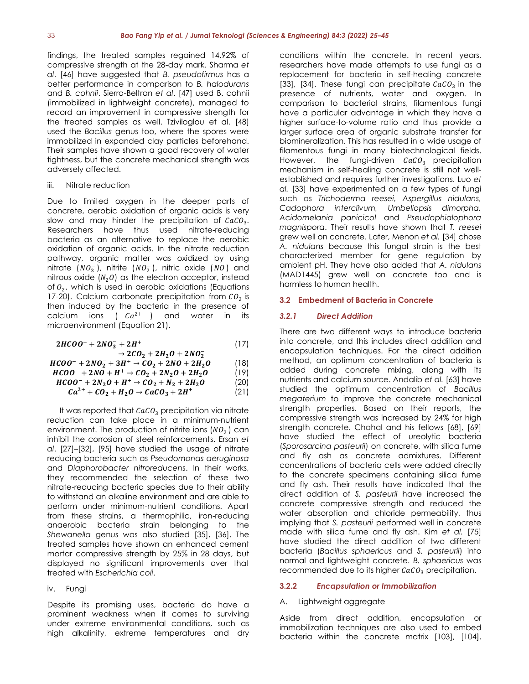findings, the treated samples regained 14.92% of compressive strength at the 28-day mark. Sharma *et al*. [46] have suggested that *B. pseudofirmus* has a better performance in comparison to *B. halodurans* and *B. cohnii*. Sierra-Beltran *et al*. [47] used B. cohnii (immobilized in lightweight concrete), managed to record an improvement in compressive strength for the treated samples as well. Tziviloglou et al. [48] used the *Bacillus* genus too, where the spores were immobilized in expanded clay particles beforehand. Their samples have shown a good recovery of water tightness, but the concrete mechanical strength was adversely affected.

#### iii. Nitrate reduction

Due to limited oxygen in the deeper parts of concrete, aerobic oxidation of organic acids is very slow and may hinder the precipitation of  $CaCO<sub>3</sub>$ . Researchers have thus used nitrate-reducing bacteria as an alternative to replace the aerobic oxidation of organic acids. In the nitrate reduction pathway, organic matter was oxidized by using nitrate  $(NO<sub>3</sub><sup>-</sup>)$ , nitrite  $(NO<sub>2</sub><sup>-</sup>)$ , nitric oxide  $(NO)$  and nitrous oxide  $(N<sub>2</sub>0)$  as the electron acceptor, instead of  $0<sub>2</sub>$ , which is used in aerobic oxidations (Equations 17-20). Calcium carbonate precipitation from  $CO<sub>2</sub>$  is then induced by the bacteria in the presence of calcium ions ( $Ca^{2+}$ ) and water in its microenvironment (Equation 21).

$$
2HCOO^{-} + 2NO_{3}^{-} + 2H^{+}
$$
 (17)

$$
+2CO_2 + 2H_2O + 2NO_2^-
$$
  
\n
$$
HCOO^- + 2NO_2^- + 3H^+ \rightarrow CO_2 + 2NO + 2H_2O
$$
 (18)

$$
HCOO^{-} + 2NO + H^{+} \rightarrow CO_{2} + 2N_{2}O + 2H_{2}O
$$
\n
$$
HCOO^{-} + 2N_{2}O + H^{+} \rightarrow CO_{2} + N_{2} + 2H_{2}O
$$
\n(19)

$$
Ca^{2+} + CO_2 + H_2O \rightarrow CaCO_3 + 2H^+ \qquad (21)
$$

It was reported that  $CaCO<sub>3</sub>$  precipitation via nitrate reduction can take place in a minimum-nutrient environment. The production of nitrite ions  $(NO<sub>2</sub><sup>-</sup>)$  can inhibit the corrosion of steel reinforcements. Ersan *et al*. [27]–[32], [95] have studied the usage of nitrate reducing bacteria such as *Pseudomonas aeruginosa* and *Diaphorobacter nitroreducens*. In their works, they recommended the selection of these two nitrate-reducing bacteria species due to their ability to withstand an alkaline environment and are able to perform under minimum-nutrient conditions. Apart from these strains, a thermophilic, iron-reducing anaerobic bacteria strain belonging to the *Shewanella* genus was also studied [35], [36]. The treated samples have shown an enhanced cement mortar compressive strength by 25% in 28 days, but displayed no significant improvements over that treated with *Escherichia coli*.

# iv. Fungi

Despite its promising uses, bacteria do have a prominent weakness when it comes to surviving under extreme environmental conditions, such as high alkalinity, extreme temperatures and dry conditions within the concrete. In recent years, researchers have made attempts to use fungi as a replacement for bacteria in self-healing concrete [33], [34]. These fungi can precipitate  $CaCO<sub>3</sub>$  in the presence of nutrients, water and oxygen. In comparison to bacterial strains, filamentous fungi have a particular advantage in which they have a higher surface-to-volume ratio and thus provide a larger surface area of organic substrate transfer for biomineralization. This has resulted in a wide usage of filamentous fungi in many biotechnological fields. However, the fungi-driven  $CaCO<sub>3</sub>$  precipitation mechanism in self-healing concrete is still not wellestablished and requires further investigations. Luo *et al.* [33] have experimented on a few types of fungi such as *Trichoderma reesei, Aspergillus nidulans, Cadophora interclivum, Umbeliopsis dimorpha, Acidomelania panicicol* and *Pseudophialophora magnispora*. Their results have shown that *T. reesei*  grew well on concrete. Later, Menon *et al.* [34] chose *A. nidulans* because this fungal strain is the best characterized member for gene regulation by ambient pH. They have also added that *A. nidulans* (MAD1445) grew well on concrete too and is harmless to human health.

### **3.2 Embedment of Bacteria in Concrete**

# *3.2.1 Direct Addition*

There are two different ways to introduce bacteria into concrete, and this includes direct addition and encapsulation techniques. For the direct addition method, an optimum concentration of bacteria is added during concrete mixing, along with its nutrients and calcium source. Andalib *et al.* [63] have studied the optimum concentration of *Bacillus megaterium* to improve the concrete mechanical strength properties. Based on their reports, the compressive strength was increased by 24% for high strength concrete. Chahal and his fellows [68], [69] have studied the effect of ureolytic bacteria (*Sporosarcina pasteurii*) on concrete, with silica fume and fly ash as concrete admixtures. Different concentrations of bacteria cells were added directly to the concrete specimens containing silica fume and fly ash. Their results have indicated that the direct addition of *S. pasteurii* have increased the concrete compressive strength and reduced the water absorption and chloride permeability, thus implying that *S. pasteurii* performed well in concrete made with silica fume and fly ash. Kim *et al.* [75] have studied the direct addition of two different bacteria (*Bacillus sphaericus* and *S. pasteurii*) into normal and lightweight concrete. *B. sphaericus* was recommended due to its higher  $CaCO<sub>3</sub>$  precipitation.

# **3.2.2** *Encapsulation or Immobilization*

# A. Lightweight aggregate

Aside from direct addition, encapsulation or immobilization techniques are also used to embed bacteria within the concrete matrix [103], [104].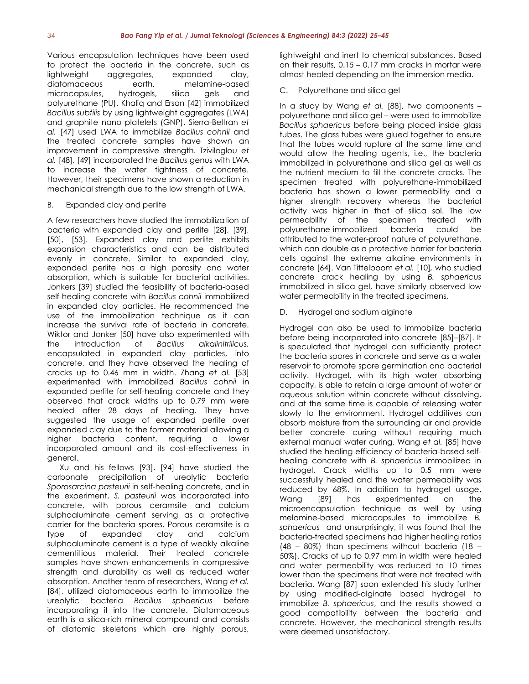Various encapsulation techniques have been used to protect the bacteria in the concrete, such as lightweight aggregates, expanded clay, diatomaceous earth, melamine-based microcapsules, hydrogels, silica gels and polyurethane (PU). Khaliq and Ersan [42] immobilized *Bacillus subtilis* by using lightweight aggregates (LWA) and graphite nano platelets (GNP). Sierra-Beltran *et al.* [47] used LWA to immobilize *Bacillus cohnii* and the treated concrete samples have shown an improvement in compressive strength. Tziviloglou *et al.* [48], [49] incorporated the *Bacillus* genus with LWA to increase the water tightness of concrete. However, their specimens have shown a reduction in mechanical strength due to the low strength of LWA.

#### B. Expanded clay and perlite

A few researchers have studied the immobilization of bacteria with expanded clay and perlite [28], [39], [50], [53]. Expanded clay and perlite exhibits expansion characteristics and can be distributed evenly in concrete. Similar to expanded clay, expanded perlite has a high porosity and water absorption, which is suitable for bacterial activities. Jonkers [39] studied the feasibility of bacteria-based self-healing concrete with *Bacillus cohnii* immobilized in expanded clay particles. He recommended the use of the immobilization technique as it can increase the survival rate of bacteria in concrete. Wiktor and Jonker [50] have also experimented with the introduction of *Bacillus alkalinitrilicus,* encapsulated in expanded clay particles, into concrete, and they have observed the healing of cracks up to 0.46 mm in width. Zhang *et al.* [53] experimented with immobilized *Bacillus cohnii* in expanded perlite for self-healing concrete and they observed that crack widths up to 0.79 mm were healed after 28 days of healing. They have suggested the usage of expanded perlite over expanded clay due to the former material allowing a higher bacteria content, requiring a lower incorporated amount and its cost-effectiveness in general.

Xu and his fellows [93], [94] have studied the carbonate precipitation of ureolytic bacteria *Sporosarcina pasteurii* in self-healing concrete, and in the experiment, *S. pasteurii* was incorporated into concrete, with porous ceramsite and calcium sulphoaluminate cement serving as a protective carrier for the bacteria spores. Porous ceramsite is a type of expanded clay and calcium sulphoaluminate cement is a type of weakly alkaline cementitious material. Their treated concrete samples have shown enhancements in compressive strength and durability as well as reduced water absorption. Another team of researchers, Wang *et al.* [84], utilized diatomaceous earth to immobilize the ureolytic bacteria *Bacillus sphaericus* before incorporating it into the concrete. Diatomaceous earth is a silica-rich mineral compound and consists of diatomic skeletons which are highly porous,

lightweight and inert to chemical substances. Based on their results, 0.15 – 0.17 mm cracks in mortar were almost healed depending on the immersion media.

#### C. Polyurethane and silica gel

In a study by Wang *et al.* [88], two components – polyurethane and silica gel – were used to immobilize *Bacillus sphaericus* before being placed inside glass tubes. The glass tubes were glued together to ensure that the tubes would rupture at the same time and would allow the healing agents, i.e., the bacteria immobilized in polyurethane and silica gel as well as the nutrient medium to fill the concrete cracks. The specimen treated with polyurethane-immobilized bacteria has shown a lower permeability and a higher strength recovery whereas the bacterial activity was higher in that of silica sol. The low permeability of the specimen treated with polyurethane-immobilized bacteria could be attributed to the water-proof nature of polyurethane, which can double as a protective barrier for bacteria cells against the extreme alkaline environments in concrete [64]. Van Tittelboom *et al.* [10]*,* who studied concrete crack healing by using *B. sphaericus* immobilized in silica gel, have similarly observed low water permeability in the treated specimens.

Hydrogel and sodium alginate

Hydrogel can also be used to immobilize bacteria before being incorporated into concrete [85]–[87]. It is speculated that hydrogel can sufficiently protect the bacteria spores in concrete and serve as a water reservoir to promote spore germination and bacterial activity. Hydrogel, with its high water absorbing capacity, is able to retain a large amount of water or aqueous solution within concrete without dissolving, and at the same time is capable of releasing water slowly to the environment. Hydrogel additives can absorb moisture from the surrounding air and provide better concrete curing without requiring much external manual water curing. Wang *et al.* [85] have studied the healing efficiency of bacteria-based selfhealing concrete with *B. sphaericus* immobilized in hydrogel. Crack widths up to 0.5 mm were successfully healed and the water permeability was reduced by 68%. In addition to hydrogel usage, Wang [89] has experimented on the microencapsulation technique as well by using melamine-based microcapsules to immobilize *B. sphaericus* and unsurprisingly, it was found that the bacteria-treated specimens had higher healing ratios (48 – 80%) than specimens without bacteria (18 – 50%). Cracks of up to 0.97 mm in width were healed and water permeability was reduced to 10 times lower than the specimens that were not treated with bacteria. Wang [87] soon extended his study further by using modified-alginate based hydrogel to immobilize *B. sphaericus*, and the results showed a good compatibility between the bacteria and concrete. However, the mechanical strength results were deemed unsatisfactory.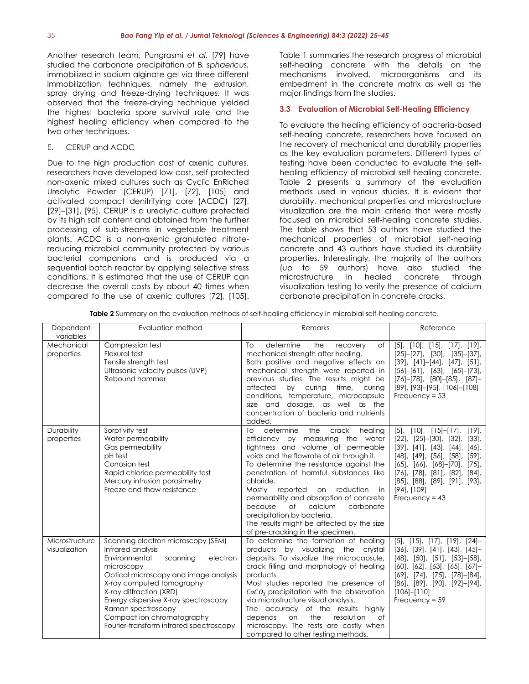Another research team, Pungrasmi *et al.* [79] have studied the carbonate precipitation of *B. sphaericus,*  immobilized in sodium alginate gel via three different immobilization techniques, namely the extrusion, spray drying and freeze-drying techniques. It was observed that the freeze-drying technique yielded the highest bacteria spore survival rate and the highest healing efficiency when compared to the two other techniques.

# E. CERUP and ACDC

Due to the high production cost of axenic cultures, researchers have developed low-cost, self-protected non-axenic mixed cultures such as Cyclic EnRiched Ureolytic Powder (CERUP) [71], [72], [105] and activated compact denitrifying core (ACDC) [27], [29]–[31], [95]. CERUP is a ureolytic culture protected by its high salt content and obtained from the further processing of sub-streams in vegetable treatment plants. ACDC is a non-axenic granulated nitratereducing microbial community protected by various bacterial companions and is produced via a sequential batch reactor by applying selective stress conditions. It is estimated that the use of CERUP can decrease the overall costs by about 40 times when compared to the use of axenic cultures [72], [105].

Table 1 summaries the research progress of microbial self-healing concrete with the details on the mechanisms involved, microorganisms and its embedment in the concrete matrix as well as the major findings from the studies.

### **3.3 Evaluation of Microbial Self-Healing Efficiency**

To evaluate the healing efficiency of bacteria-based self-healing concrete, researchers have focused on the recovery of mechanical and durability properties as the key evaluation parameters. Different types of testing have been conducted to evaluate the selfhealing efficiency of microbial self-healing concrete. Table 2 presents a summary of the evaluation methods used in various studies. It is evident that durability, mechanical properties and microstructure visualization are the main criteria that were mostly focused on microbial self-healing concrete studies. The table shows that 53 authors have studied the mechanical properties of microbial self-healing concrete and 43 authors have studied its durability properties. Interestingly, the majority of the authors (up to 59 authors) have also studied the microstructure in healed concrete through visualization testing to verify the presence of calcium carbonate precipitation in concrete cracks.

**Table 2** Summary on the evaluation methods of self-healing efficiency in microbial self-healing concrete.

| Dependent<br>variables          | Evaluation method                                                                                                                                                                                                                                                                                                                                      | Remarks                                                                                                                                                                                                                                                                                                                                                                                                                                                                                                                   | Reference                                                                                                                                                                                                                                                                                                                                                                           |
|---------------------------------|--------------------------------------------------------------------------------------------------------------------------------------------------------------------------------------------------------------------------------------------------------------------------------------------------------------------------------------------------------|---------------------------------------------------------------------------------------------------------------------------------------------------------------------------------------------------------------------------------------------------------------------------------------------------------------------------------------------------------------------------------------------------------------------------------------------------------------------------------------------------------------------------|-------------------------------------------------------------------------------------------------------------------------------------------------------------------------------------------------------------------------------------------------------------------------------------------------------------------------------------------------------------------------------------|
| Mechanical<br>properties        | Compression test<br>Flexural test<br>Tensile strength test<br>Ultrasonic velocity pulses (UVP)<br>Rebound hammer                                                                                                                                                                                                                                       | determine<br>To<br>the<br>recovery<br>of<br>mechanical strength after healing.<br>Both positive and negative effects on<br>mechanical strength were reported in<br>previous studies. The results might be<br>affected<br>by curing<br>time, curing<br>conditions, temperature, microcapsule<br>size and dosage, as well as the<br>concentration of bacteria and nutrients<br>added.                                                                                                                                       | $[5]$ , $[10]$ , $[15]$ , $[17]$ , $[19]$ ,<br>$[25]-[27]$ , $[30]$ , $[35]-[37]$ ,<br>$[39]$ , $[41] - [44]$ , $[47]$ , $[51]$ ,<br>$[56]-[61]$ , $[63]$ , $[65]-[73]$ ,<br>$[76]-[78]$ , $[80]-[85]$ , $[87]-$<br>[89], [93]-[95], [106]-[108]<br>Frequency = $53$                                                                                                                |
| Durability<br>properties        | Sorptivity test<br>Water permeability<br>Gas permeability<br>pH test<br>Corrosion test<br>Rapid chloride permeability test<br>Mercury intrusion porosimetry<br>Freeze and thaw resistance                                                                                                                                                              | To<br>determine<br>the<br>crack<br>healing<br>efficiency by measuring the water<br>tightness and volume of permeable<br>voids and the flowrate of air through it.<br>To determine the resistance against the<br>penetration of harmful substances like<br>chloride.<br>Mostly reported<br>reduction<br>on<br>in<br>permeability and absorption of concrete<br>$\circ$ f<br>calcium<br>carbonate<br>because<br>precipitation by bacteria.<br>The results might be affected by the size<br>of pre-cracking in the specimen. | $[5]$ , $[10]$ , $[15]$ – $[17]$ ,<br>$[19],$<br>$[22]$ , $[25] - [30]$ , $[32]$ , $[33]$ ,<br>$[39]$ , $[41]$ , $[43]$ , $[44]$ , $[46]$ ,<br>$[48]$ , $[49]$ , $[56]$ , $[58]$ , $[59]$ ,<br>$[65]$ , $[66]$ , $[68]$ - $[70]$ , $[75]$ ,<br>$[76]$ , $[78]$ , $[81]$ , $[82]$ , $[84]$ ,<br>$[85]$ , $[88]$ , $[89]$ , $[91]$ , $[93]$ ,<br>$[94]$ , $[109]$<br>Frequency = $43$ |
| Microstructure<br>visualization | Scanning electron microscopy (SEM)<br>Infrared analysis<br>Environmental<br>electron<br>scanning<br>microscopy<br>Optical microscopy and image analysis<br>X-ray computed tomography<br>X-ray diffraction (XRD)<br>Energy dispersive X-ray spectroscopy<br>Raman spectroscopy<br>Compact ion chromatography<br>Fourier-transform infrared spectroscopy | To determine the formation of healing<br>products by visualizing<br>the crystal<br>deposits. To visualize the microcapsule,<br>crack filling and morphology of healing<br>products.<br>Most studies reported the presence of<br>$CaCO3$ precipitation with the observation<br>via microstructure visual analysis.<br>The accuracy of the results highly<br>resolution<br>depends<br>on<br>the<br>$\circ$ f<br>microscopy. The tests are costly when<br>compared to other testing methods.                                 | $[5]$ , $[15]$ , $[17]$ , $[19]$ , $[24]$ -<br>$[36]$ , $[39]$ , $[41]$ , $[43]$ , $[45]$ -<br>$[48]$ , $[50]$ , $[51]$ , $[53]$ – $[58]$ ,<br>$[60]$ , $[62]$ , $[63]$ , $[65]$ , $[67]$ –<br>$[69]$ , $[74]$ , $[75]$ , $[78]$ – $[84]$ ,<br>$[86]$ , $[89]$ , $[90]$ , $[92]$ – $[94]$ ,<br>$[106] - [110]$<br>Frequency = $59$                                                  |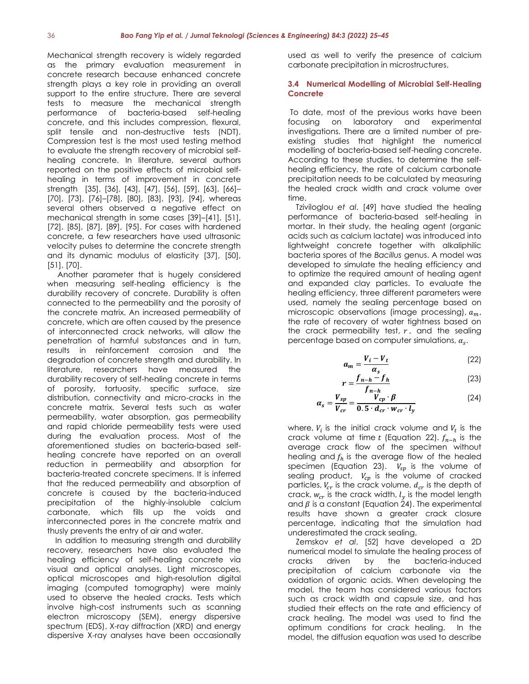Mechanical strength recovery is widely regarded as the primary evaluation measurement in concrete research because enhanced concrete strength plays a key role in providing an overall support to the entire structure. There are several tests to measure the mechanical strength performance of bacteria-based self-healing concrete, and this includes compression, flexural, split tensile and non-destructive tests (NDT). Compression test is the most used testing method to evaluate the strength recovery of microbial selfhealing concrete. In literature, several authors reported on the positive effects of microbial selfhealing in terms of improvement in concrete strength [35], [36], [43], [47], [56], [59], [63], [66]– [70], [73], [76]–[78], [80], [83], [93], [94], whereas several others observed a negative effect on mechanical strength in some cases [39]–[41], [51], [72], [85], [87], [89], [95]. For cases with hardened concrete, a few researchers have used ultrasonic velocity pulses to determine the concrete strength and its dynamic modulus of elasticity [37], [50], [51], [70].

Another parameter that is hugely considered when measuring self-healing efficiency is the durability recovery of concrete. Durability is often connected to the permeability and the porosity of the concrete matrix. An increased permeability of concrete, which are often caused by the presence of interconnected crack networks, will allow the penetration of harmful substances and in turn, results in reinforcement corrosion and the degradation of concrete strength and durability. In literature, researchers have measured the durability recovery of self-healing concrete in terms of porosity, tortuosity, specific surface, size distribution, connectivity and micro-cracks in the concrete matrix. Several tests such as water permeability, water absorption, gas permeability and rapid chloride permeability tests were used during the evaluation process. Most of the aforementioned studies on bacteria-based selfhealing concrete have reported on an overall reduction in permeability and absorption for bacteria-treated concrete specimens. It is inferred that the reduced permeability and absorption of concrete is caused by the bacteria-induced precipitation of the highly-insoluble calcium carbonate, which fills up the voids and interconnected pores in the concrete matrix and thusly prevents the entry of air and water.

In addition to measuring strength and durability recovery, researchers have also evaluated the healing efficiency of self-healing concrete via visual and optical analyses. Light microscopes, optical microscopes and high-resolution digital imaging (computed tomography) were mainly used to observe the healed cracks. Tests which involve high-cost instruments such as scanning electron microscopy (SEM), energy dispersive spectrum (EDS), X-ray diffraction (XRD) and energy dispersive X-ray analyses have been occasionally

used as well to verify the presence of calcium carbonate precipitation in microstructures.

#### **3.4 Numerical Modelling of Microbial Self-Healing Concrete**

To date, most of the previous works have been focusing on laboratory and experimental investigations. There are a limited number of preexisting studies that highlight the numerical modelling of bacteria-based self-healing concrete. According to these studies, to determine the selfhealing efficiency, the rate of calcium carbonate precipitation needs to be calculated by measuring the healed crack width and crack volume over time.

Tziviloglou *et al*. [49] have studied the healing performance of bacteria-based self-healing in mortar. In their study, the healing agent (organic acids such as calcium lactate) was introduced into lightweight concrete together with alkaliphilic bacteria spores of the *Bacillus* genus. A model was developed to simulate the healing efficiency and to optimize the required amount of healing agent and expanded clay particles. To evaluate the healing efficiency, three different parameters were used, namely the sealing percentage based on microscopic observations (image processing),  $a_m$ , the rate of recovery of water tightness based on the crack permeability test,  $r$ , and the sealing percentage based on computer simulations,  $\alpha_s$ .

$$
a_m = \frac{V_i - V_t}{\alpha} \tag{22}
$$

$$
r = \frac{f_{n-h} - f_h}{f_{n-h}}
$$
 (23)

$$
\alpha_s = \frac{V_{sp}}{V_{cr}} = \frac{V_{cp} \cdot \beta}{0.5 \cdot d_{cr} \cdot w_{cr} \cdot l_y}
$$
 (24)

where,  $V_i$  is the initial crack volume and  $V_t$  is the crack volume at time t (Equation 22).  $f_{n-h}$  is the average crack flow of the specimen without healing and  $f_h$  is the average flow of the healed specimen (Equation 23).  $V_{sn}$  is the volume of sealing product,  $V_{cp}$  is the volume of cracked particles,  $V_{cr}$  is the crack volume,  $d_{cr}$  is the depth of crack,  $w_{cr}$  is the crack width,  $l_v$  is the model length and  $\beta$  is a constant (Equation 24). The experimental results have shown a greater crack closure percentage, indicating that the simulation had underestimated the crack sealing.

Zemskov *et al*. [52] have developed a 2D numerical model to simulate the healing process of cracks driven by the bacteria-induced precipitation of calcium carbonate via the oxidation of organic acids. When developing the model, the team has considered various factors such as crack width and capsule size, and has studied their effects on the rate and efficiency of crack healing. The model was used to find the optimum conditions for crack healing. In the model, the diffusion equation was used to describe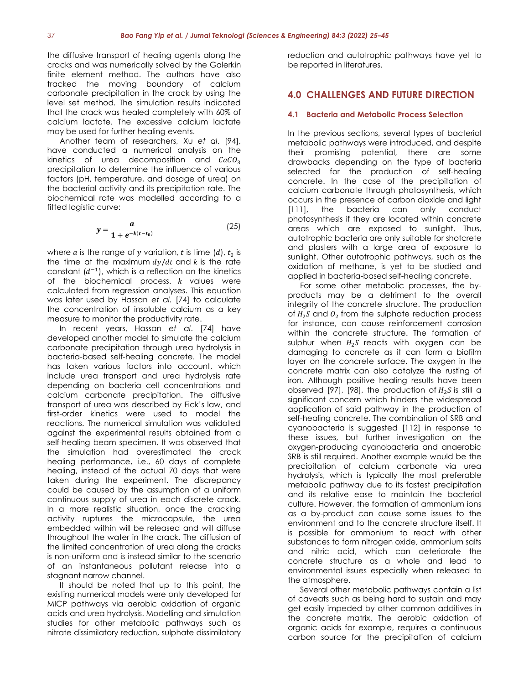the diffusive transport of healing agents along the cracks and was numerically solved by the Galerkin finite element method. The authors have also tracked the moving boundary of calcium carbonate precipitation in the crack by using the level set method. The simulation results indicated that the crack was healed completely with 60% of calcium lactate. The excessive calcium lactate may be used for further healing events.

Another team of researchers, Xu *et al*. [94], have conducted a numerical analysis on the kinetics of urea decomposition and  $CaCO<sub>2</sub>$ precipitation to determine the influence of various factors (pH, temperature, and dosage of urea) on the bacterial activity and its precipitation rate. The biochemical rate was modelled according to a fitted logistic curve:

$$
y = \frac{a}{1 + e^{-k(t - t_0)}}\tag{25}
$$

where a is the range of y variation, t is time  $(d)$ ,  $t_0$  is the time at the maximum  $dy/dt$  and  $k$  is the rate constant  $(d^{-1})$ , which is a reflection on the kinetics of the biochemical process.  $k$  values were calculated from regression analyses. This equation was later used by Hassan *et al.* [74] to calculate the concentration of insoluble calcium as a key measure to monitor the productivity rate.

In recent years, Hassan *et al*. [74] have developed another model to simulate the calcium carbonate precipitation through urea hydrolysis in bacteria-based self-healing concrete. The model has taken various factors into account, which include urea transport and urea hydrolysis rate depending on bacteria cell concentrations and calcium carbonate precipitation. The diffusive transport of urea was described by Fick's law, and first-order kinetics were used to model the reactions. The numerical simulation was validated against the experimental results obtained from a self-healing beam specimen. It was observed that the simulation had overestimated the crack healing performance, i.e., 60 days of complete healing, instead of the actual 70 days that were taken during the experiment. The discrepancy could be caused by the assumption of a uniform continuous supply of urea in each discrete crack. In a more realistic situation, once the cracking activity ruptures the microcapsule, the urea embedded within will be released and will diffuse throughout the water in the crack. The diffusion of the limited concentration of urea along the cracks is non-uniform and is instead similar to the scenario of an instantaneous pollutant release into a stagnant narrow channel.

It should be noted that up to this point, the existing numerical models were only developed for MICP pathways via aerobic oxidation of organic acids and urea hydrolysis. Modelling and simulation studies for other metabolic pathways such as nitrate dissimilatory reduction, sulphate dissimilatory

reduction and autotrophic pathways have yet to be reported in literatures.

# **4.0 CHALLENGES AND FUTURE DIRECTION**

#### **4.1 Bacteria and Metabolic Process Selection**

In the previous sections, several types of bacterial metabolic pathways were introduced, and despite their promising potential, there are some drawbacks depending on the type of bacteria selected for the production of self-healing concrete. In the case of the precipitation of calcium carbonate through photosynthesis, which occurs in the presence of carbon dioxide and light [111], the bacteria can only conduct photosynthesis if they are located within concrete areas which are exposed to sunlight. Thus, autotrophic bacteria are only suitable for shotcrete and plasters with a large area of exposure to sunlight. Other autotrophic pathways, such as the oxidation of methane, is yet to be studied and applied in bacteria-based self-healing concrete.

For some other metabolic processes, the byproducts may be a detriment to the overall integrity of the concrete structure. The production of  $H_2 S$  and  $O_2$  from the sulphate reduction process for instance, can cause reinforcement corrosion within the concrete structure. The formation of sulphur when  $H_2S$  reacts with oxygen can be damaging to concrete as it can form a biofilm layer on the concrete surface. The oxygen in the concrete matrix can also catalyze the rusting of iron. Although positive healing results have been observed [97], [98], the production of  $H_2 S$  is still a significant concern which hinders the widespread application of said pathway in the production of self-healing concrete. The combination of SRB and cyanobacteria is suggested [112] in response to these issues, but further investigation on the oxygen-producing cyanobacteria and anaerobic SRB is still required. Another example would be the precipitation of calcium carbonate via urea hydrolysis, which is typically the most preferable metabolic pathway due to its fastest precipitation and its relative ease to maintain the bacterial culture. However, the formation of ammonium ions as a by-product can cause some issues to the environment and to the concrete structure itself. It is possible for ammonium to react with other substances to form nitrogen oxide, ammonium salts and nitric acid, which can deteriorate the concrete structure as a whole and lead to environmental issues especially when released to the atmosphere.

Several other metabolic pathways contain a list of caveats such as being hard to sustain and may get easily impeded by other common additives in the concrete matrix. The aerobic oxidation of organic acids for example, requires a continuous carbon source for the precipitation of calcium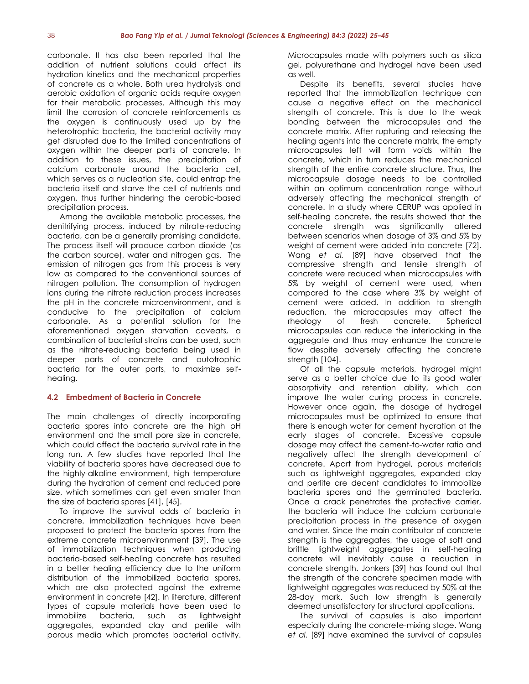carbonate. It has also been reported that the addition of nutrient solutions could affect its hydration kinetics and the mechanical properties of concrete as a whole. Both urea hydrolysis and aerobic oxidation of organic acids require oxygen for their metabolic processes. Although this may limit the corrosion of concrete reinforcements as the oxygen is continuously used up by the heterotrophic bacteria, the bacterial activity may get disrupted due to the limited concentrations of oxygen within the deeper parts of concrete. In addition to these issues, the precipitation of calcium carbonate around the bacteria cell, which serves as a nucleation site, could entrap the bacteria itself and starve the cell of nutrients and oxygen, thus further hindering the aerobic-based precipitation process.

Among the available metabolic processes, the denitrifying process, induced by nitrate-reducing bacteria, can be a generally promising candidate. The process itself will produce carbon dioxide (as the carbon source), water and nitrogen gas. The emission of nitrogen gas from this process is very low as compared to the conventional sources of nitrogen pollution. The consumption of hydrogen ions during the nitrate reduction process increases the pH in the concrete microenvironment, and is conducive to the precipitation of calcium carbonate. As a potential solution for the aforementioned oxygen starvation caveats, a combination of bacterial strains can be used, such as the nitrate-reducing bacteria being used in deeper parts of concrete and autotrophic bacteria for the outer parts, to maximize selfhealing.

#### **4.2 Embedment of Bacteria in Concrete**

The main challenges of directly incorporating bacteria spores into concrete are the high pH environment and the small pore size in concrete, which could affect the bacteria survival rate in the long run. A few studies have reported that the viability of bacteria spores have decreased due to the highly-alkaline environment, high temperature during the hydration of cement and reduced pore size, which sometimes can get even smaller than the size of bacteria spores [41], [45].

To improve the survival odds of bacteria in concrete, immobilization techniques have been proposed to protect the bacteria spores from the extreme concrete microenvironment [39]. The use of immobilization techniques when producing bacteria-based self-healing concrete has resulted in a better healing efficiency due to the uniform distribution of the immobilized bacteria spores, which are also protected against the extreme environment in concrete [42]. In literature, different types of capsule materials have been used to immobilize bacteria, such as lightweight aggregates, expanded clay and perlite with porous media which promotes bacterial activity.

Microcapsules made with polymers such as silica gel, polyurethane and hydrogel have been used as well.

Despite its benefits, several studies have reported that the immobilization technique can cause a negative effect on the mechanical strength of concrete. This is due to the weak bonding between the microcapsules and the concrete matrix. After rupturing and releasing the healing agents into the concrete matrix, the empty microcapsules left will form voids within the concrete, which in turn reduces the mechanical strength of the entire concrete structure. Thus, the microcapsule dosage needs to be controlled within an optimum concentration range without adversely affecting the mechanical strength of concrete. In a study where CERUP was applied in self-healing concrete, the results showed that the concrete strength was significantly altered between scenarios when dosage of 3% and 5% by weight of cement were added into concrete [72]. Wang *et al.* [89] have observed that the compressive strength and tensile strength of concrete were reduced when microcapsules with 5% by weight of cement were used, when compared to the case where 3% by weight of cement were added. In addition to strength reduction, the microcapsules may affect the rheology of fresh concrete. Spherical microcapsules can reduce the interlocking in the aggregate and thus may enhance the concrete flow despite adversely affecting the concrete strength [104].

Of all the capsule materials, hydrogel might serve as a better choice due to its good water absorptivity and retention ability, which can improve the water curing process in concrete. However once again, the dosage of hydrogel microcapsules must be optimized to ensure that there is enough water for cement hydration at the early stages of concrete. Excessive capsule dosage may affect the cement-to-water ratio and negatively affect the strength development of concrete. Apart from hydrogel, porous materials such as lightweight aggregates, expanded clay and perlite are decent candidates to immobilize bacteria spores and the germinated bacteria. Once a crack penetrates the protective carrier, the bacteria will induce the calcium carbonate precipitation process in the presence of oxygen and water. Since the main contributor of concrete strength is the aggregates, the usage of soft and brittle lightweight aggregates in self-healing concrete will inevitably cause a reduction in concrete strength. Jonkers [39] has found out that the strength of the concrete specimen made with lightweight aggregates was reduced by 50% at the 28-day mark. Such low strength is generally deemed unsatisfactory for structural applications.

The survival of capsules is also important especially during the concrete-mixing stage. Wang *et al.* [89] have examined the survival of capsules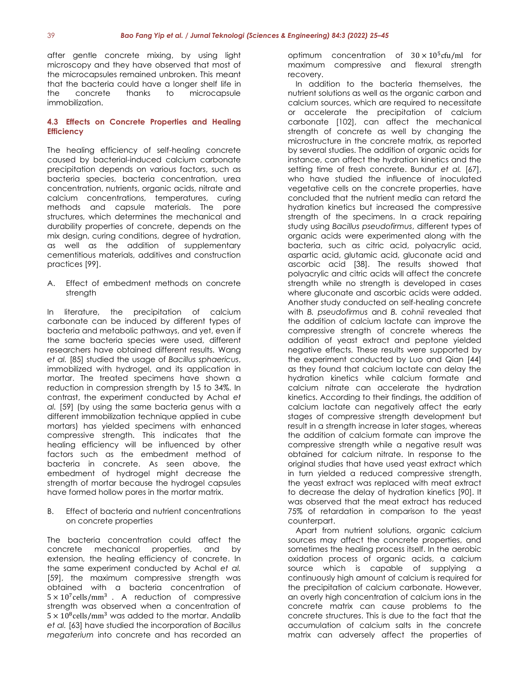after gentle concrete mixing, by using light microscopy and they have observed that most of the microcapsules remained unbroken. This meant that the bacteria could have a longer shelf life in the concrete thanks to microcapsule immobilization.

# **4.3 Effects on Concrete Properties and Healing Efficiency**

The healing efficiency of self-healing concrete caused by bacterial-induced calcium carbonate precipitation depends on various factors, such as bacteria species, bacteria concentration, urea concentration, nutrients, organic acids, nitrate and calcium concentrations, temperatures, curing methods and capsule materials. The pore structures, which determines the mechanical and durability properties of concrete, depends on the mix design, curing conditions, degree of hydration, as well as the addition of supplementary cementitious materials, additives and construction practices [99].

A. Effect of embedment methods on concrete strength

In literature, the precipitation of calcium carbonate can be induced by different types of bacteria and metabolic pathways, and yet, even if the same bacteria species were used, different researchers have obtained different results. Wang *et al.* [85] studied the usage of *Bacillus sphaericus*, immobilized with hydrogel, and its application in mortar. The treated specimens have shown a reduction in compression strength by 15 to 34%. In contrast, the experiment conducted by Achal *et al.* [59] (by using the same bacteria genus with a different immobilization technique applied in cube mortars) has yielded specimens with enhanced compressive strength. This indicates that the healing efficiency will be influenced by other factors such as the embedment method of bacteria in concrete. As seen above, the embedment of hydrogel might decrease the strength of mortar because the hydrogel capsules have formed hollow pores in the mortar matrix.

B. Effect of bacteria and nutrient concentrations on concrete properties

The bacteria concentration could affect the concrete mechanical properties, and by extension, the healing efficiency of concrete. In the same experiment conducted by Achal *et al.* [59], the maximum compressive strength was obtained with a bacteria concentration of  $5 \times 10^7$  cells/mm<sup>3</sup>. A reduction of compressive strength was observed when a concentration of  $5 \times 10^8$ cells/mm<sup>3</sup> was added to the mortar. Andalib *et al.* [63] have studied the incorporation of *Bacillus megaterium* into concrete and has recorded an

optimum concentration of  $30 \times 10^5$ cfu/ml for maximum compressive and flexural strength recovery.

In addition to the bacteria themselves, the nutrient solutions as well as the organic carbon and calcium sources, which are required to necessitate or accelerate the precipitation of calcium carbonate [102], can affect the mechanical strength of concrete as well by changing the microstructure in the concrete matrix, as reported by several studies. The addition of organic acids for instance, can affect the hydration kinetics and the setting time of fresh concrete. Bundur *et al.* [67], who have studied the influence of inoculated vegetative cells on the concrete properties, have concluded that the nutrient media can retard the hydration kinetics but increased the compressive strength of the specimens. In a crack repairing study using *Bacillus pseudofirmus*, different types of organic acids were experimented along with the bacteria, such as citric acid, polyacrylic acid, aspartic acid, glutamic acid, gluconate acid and ascorbic acid [38]. The results showed that polyacrylic and citric acids will affect the concrete strength while no strength is developed in cases where gluconate and ascorbic acids were added. Another study conducted on self-healing concrete with *B. pseudofirmus* and *B. cohnii* revealed that the addition of calcium lactate can improve the compressive strength of concrete whereas the addition of yeast extract and peptone yielded negative effects. These results were supported by the experiment conducted by Luo and Qian [44] as they found that calcium lactate can delay the hydration kinetics while calcium formate and calcium nitrate can accelerate the hydration kinetics. According to their findings, the addition of calcium lactate can negatively affect the early stages of compressive strength development but result in a strength increase in later stages, whereas the addition of calcium formate can improve the compressive strength while a negative result was obtained for calcium nitrate. In response to the original studies that have used yeast extract which in turn yielded a reduced compressive strength, the yeast extract was replaced with meat extract to decrease the delay of hydration kinetics [90]. It was observed that the meat extract has reduced 75% of retardation in comparison to the yeast counterpart.

Apart from nutrient solutions, organic calcium sources may affect the concrete properties, and sometimes the healing process itself. In the aerobic oxidation process of organic acids, a calcium source which is capable of supplying a continuously high amount of calcium is required for the precipitation of calcium carbonate. However, an overly high concentration of calcium ions in the concrete matrix can cause problems to the concrete structures. This is due to the fact that the accumulation of calcium salts in the concrete matrix can adversely affect the properties of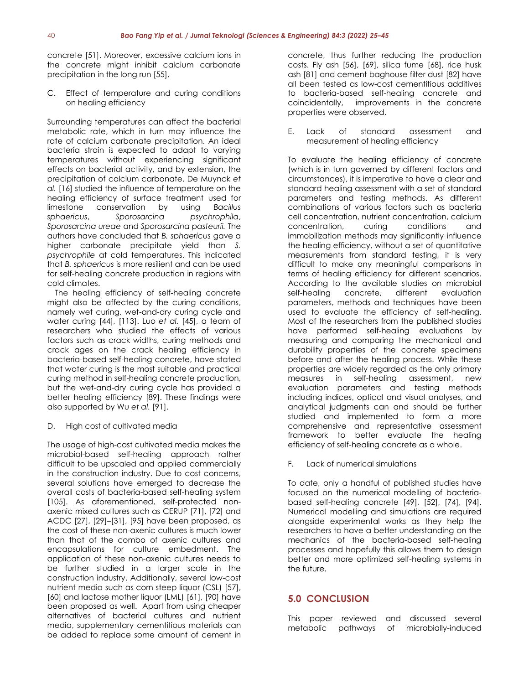concrete [51]. Moreover, excessive calcium ions in the concrete might inhibit calcium carbonate precipitation in the long run [55].

C. Effect of temperature and curing conditions on healing efficiency

Surrounding temperatures can affect the bacterial metabolic rate, which in turn may influence the rate of calcium carbonate precipitation. An ideal bacteria strain is expected to adapt to varying temperatures without experiencing significant effects on bacterial activity, and by extension, the precipitation of calcium carbonate. De Muynck *et al.* [16] studied the influence of temperature on the healing efficiency of surface treatment used for limestone conservation by using *Bacillus sphaericus*, *Sporosarcina psychrophila*, *Sporosarcina ureae* and *Sporosarcina pasteurii.* The authors have concluded that *B. sphaericus* gave a higher carbonate precipitate yield than *S. psychrophile* at cold temperatures. This indicated that *B. sphaericus* is more resilient and can be used for self-healing concrete production in regions with cold climates.

The healing efficiency of self-healing concrete might also be affected by the curing conditions, namely wet curing, wet-and-dry curing cycle and water curing [44], [113]. Luo *et al.* [45], a team of researchers who studied the effects of various factors such as crack widths, curing methods and crack ages on the crack healing efficiency in bacteria-based self-healing concrete, have stated that water curing is the most suitable and practical curing method in self-healing concrete production, but the wet-and-dry curing cycle has provided a better healing efficiency [89]. These findings were also supported by Wu *et al.* [91].

# D. High cost of cultivated media

The usage of high-cost cultivated media makes the microbial-based self-healing approach rather difficult to be upscaled and applied commercially in the construction industry. Due to cost concerns, several solutions have emerged to decrease the overall costs of bacteria-based self-healing system [105]. As aforementioned, self-protected nonaxenic mixed cultures such as CERUP [71], [72] and ACDC [27], [29]–[31], [95] have been proposed, as the cost of these non-axenic cultures is much lower than that of the combo of axenic cultures and encapsulations for culture embedment. The application of these non-axenic cultures needs to be further studied in a larger scale in the construction industry. Additionally, several low-cost nutrient media such as corn steep liquor (CSL) [57], [60] and lactose mother liquor (LML) [61], [90] have been proposed as well. Apart from using cheaper alternatives of bacterial cultures and nutrient media, supplementary cementitious materials can be added to replace some amount of cement in

concrete, thus further reducing the production costs. Fly ash [56], [69], silica fume [68], rice husk ash [81] and cement baghouse filter dust [82] have all been tested as low-cost cementitious additives to bacteria-based self-healing concrete and coincidentally, improvements in the concrete properties were observed.

E. Lack of standard assessment and measurement of healing efficiency

To evaluate the healing efficiency of concrete (which is in turn governed by different factors and circumstances), it is imperative to have a clear and standard healing assessment with a set of standard parameters and testing methods. As different combinations of various factors such as bacteria cell concentration, nutrient concentration, calcium concentration, curing conditions and immobilization methods may significantly influence the healing efficiency, without a set of quantitative measurements from standard testing, it is very difficult to make any meaningful comparisons in terms of healing efficiency for different scenarios. According to the available studies on microbial self-healing concrete, different evaluation parameters, methods and techniques have been used to evaluate the efficiency of self-healing. Most of the researchers from the published studies have performed self-healing evaluations by measuring and comparing the mechanical and durability properties of the concrete specimens before and after the healing process. While these properties are widely regarded as the only primary measures in self-healing assessment, new evaluation parameters and testing methods including indices, optical and visual analyses, and analytical judgments can and should be further studied and implemented to form a more comprehensive and representative assessment framework to better evaluate the healing efficiency of self-healing concrete as a whole.

F. Lack of numerical simulations

To date, only a handful of published studies have focused on the numerical modelling of bacteriabased self-healing concrete [49], [52], [74], [94]. Numerical modelling and simulations are required alongside experimental works as they help the researchers to have a better understanding on the mechanics of the bacteria-based self-healing processes and hopefully this allows them to design better and more optimized self-healing systems in the future.

# **5.0 CONCLUSION**

This paper reviewed and discussed several metabolic pathways of microbially-induced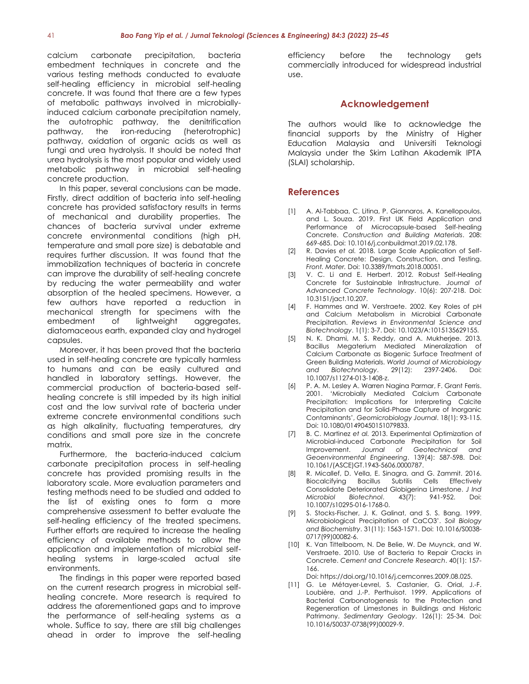calcium carbonate precipitation, bacteria embedment techniques in concrete and the various testing methods conducted to evaluate self-healing efficiency in microbial self-healing concrete. It was found that there are a few types of metabolic pathways involved in microbiallyinduced calcium carbonate precipitation namely, the autotrophic pathway, the denitrification pathway, the iron-reducing (heterotrophic) pathway, oxidation of organic acids as well as fungi and urea hydrolysis. It should be noted that urea hydrolysis is the most popular and widely used metabolic pathway in microbial self-healing concrete production.

In this paper, several conclusions can be made. Firstly, direct addition of bacteria into self-healing concrete has provided satisfactory results in terms of mechanical and durability properties. The chances of bacteria survival under extreme concrete environmental conditions (high pH, temperature and small pore size) is debatable and requires further discussion. It was found that the immobilization techniques of bacteria in concrete can improve the durability of self-healing concrete by reducing the water permeability and water absorption of the healed specimens. However, a few authors have reported a reduction in mechanical strength for specimens with the embedment of lightweight aggregates, diatomaceous earth, expanded clay and hydrogel capsules.

Moreover, it has been proved that the bacteria used in self-healing concrete are typically harmless to humans and can be easily cultured and handled in laboratory settings. However, the commercial production of bacteria-based selfhealing concrete is still impeded by its high initial cost and the low survival rate of bacteria under extreme concrete environmental conditions such as high alkalinity, fluctuating temperatures, dry conditions and small pore size in the concrete matrix.

Furthermore, the bacteria-induced calcium carbonate precipitation process in self-healing concrete has provided promising results in the laboratory scale. More evaluation parameters and testing methods need to be studied and added to the list of existing ones to form a more comprehensive assessment to better evaluate the self-healing efficiency of the treated specimens. Further efforts are required to increase the healing efficiency of available methods to allow the application and implementation of microbial selfhealing systems in large-scaled actual site environments.

The findings in this paper were reported based on the current research progress in microbial selfhealing concrete. More research is required to address the aforementioned gaps and to improve the performance of self-healing systems as a whole. Suffice to say, there are still big challenges ahead in order to improve the self-healing

efficiency before the technology gets commercially introduced for widespread industrial use.

# **Acknowledgement**

The authors would like to acknowledge the financial supports by the Ministry of Higher Education Malaysia and Universiti Teknologi Malaysia under the Skim Latihan Akademik IPTA (SLAI) scholarship.

# **References**

- [1] A. Al-Tabbaa, C. Litina, P. Giannaros, A. Kanellopoulos, and L. Souza. 2019. First UK Field Application and Performance of Microcapsule-based Self-healing Concrete. *Construction and Building Materials*. 208: 669-685. Doi: 10.1016/j.conbuildmat.2019.02.178.
- [2] R. Davies *et al.* 2018. Large Scale Application of Self-Healing Concrete: Design, Construction, and Testing. *Front. Mater.* Doi: 10.3389/fmats.2018.00051.
- [3] V. C. Li and E. Herbert. 2012. Robust Self-Healing Concrete for Sustainable Infrastructure. *Journal of Advanced Concrete Technology*. 10(6): 207-218. Doi: 10.3151/jact.10.207.
- [4] F. Hammes and W. Verstraete. 2002. Key Roles of pH and Calcium Metabolism in Microbial Carbonate Precipitation. *Reviews in Environmental Science and Biotechnology*. 1(1): 3-7. Doi: 10.1023/A:1015135629155.
- [5] N. K. Dhami, M. S. Reddy, and A. Mukherjee. 2013. Bacillus Megaterium Mediated Mineralization of Calcium Carbonate as Biogenic Surface Treatment of Green Building Materials. *World Journal of Microbiology and Biotechnology*. 29(12): 2397-2406. Doi: 10.1007/s11274-013-1408-z.
- [6] P. A. M. Lesley A. Warren Nagina Parmar, F. Grant Ferris. 2001. 'Microbially Mediated Calcium Carbonate Precipitation: Implications for Interpreting Calcite Precipitation and for Solid-Phase Capture of Inorganic Contaminants', *Geomicrobiology Journal*. 18(1): 93-115. Doi: 10.1080/01490450151079833.
- [7] B. C. Martinez *et al.* 2013. Experimental Optimization of Microbial-induced Carbonate Precipitation for Soil Improvement. *Journal of Geotechnical and Geoenvironmental Engineering*. 139(4): 587-598. Doi: 10.1061/(ASCE)GT.1943-5606.0000787.
- [8] R. Micallef, D. Vella, E. Sinagra, and G. Zammit. 2016. Biocalcifying Bacillus Subtilis Cells Effectively Consolidate Deteriorated Globigerina Limestone. *J Ind Microbiol Biotechnol*. 43(7): 941-952. Doi: 10.1007/s10295-016-1768-0.
- [9] S. Stocks-Fischer, J. K. Galinat, and S. S. Bang. 1999. Microbiological Precipitation of CaCO3'. *Soil Biology and Biochemistry*. 31(11): 1563-1571. Doi: 10.1016/S0038- 0717(99)00082-6.
- [10] K. Van Tittelboom, N. De Belie, W. De Muynck, and W. Verstraete. 2010. Use of Bacteria to Repair Cracks in Concrete. *Cement and Concrete Research*. 40(1): 157- 166.

Doi: https://doi.org/10.1016/j.cemconres.2009.08.025.

[11] G. Le Métayer-Levrel, S. Castanier, G. Orial, J.-F. Loubière, and J.-P. Perthuisot. 1999. Applications of Bacterial Carbonatogenesis to the Protection and Regeneration of Limestones in Buildings and Historic Patrimony. *Sedimentary Geology*. 126(1): 25-34. Doi: 10.1016/S0037-0738(99)00029-9.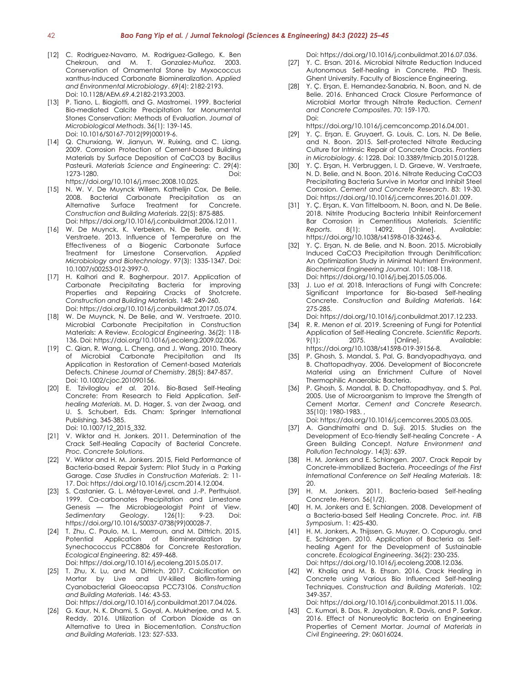- [12] C. Rodriguez-Navarro, M. Rodriguez-Gallego, K. Ben Chekroun, and M. T. Gonzalez-Muñoz. 2003. Conservation of Ornamental Stone by Myxococcus xanthus-Induced Carbonate Biomineralization. *Applied and Environmental Microbiology*. 69(4): 2182-2193. Doi: 10.1128/AEM.69.4.2182-2193.2003.
- [13] P. Tiano, L. Biagiotti, and G. Mastromei. 1999. Bacterial Bio-mediated Calcite Precipitation for Monumental Stones Conservation: Methods of Evaluation. *Journal of Microbiological Methods*. 36(1): 139-145. Doi: 10.1016/S0167-7012(99)00019-6.
- [14] Q. Chunxiang, W. Jianyun, W. Ruixing, and C. Liang. 2009. Corrosion Protection of Cement-based Building Materials by Surface Deposition of CaCO3 by Bacillus Pasteurii. *Materials Science and Engineering: C*. 29(4): 1273-1280. Doi: https://doi.org/10.1016/j.msec.2008.10.025.
- [15] N. W. V. De Muynck Willem, Kathelijn Cox, De Belie. 2008. Bacterial Carbonate Precipitation as an Alternative Surface Treatment for Concrete. *Construction and Building Materials*. 22(5): 875-885. Doi: https://doi.org/10.1016/j.conbuildmat.2006.12.011.
- [16] W. De Muynck, K. Verbeken, N. De Belie, and W. Verstraete. 2013. Influence of Temperature on the Effectiveness of a Biogenic Carbonate Surface Treatment for Limestone Conservation. *Applied Microbiology and Biotechnology*. 97(3): 1335-1347. Doi: 10.1007/s00253-012-3997-0.
- [17] H. Kalhori and R. Bagherpour. 2017. Application of Carbonate Precipitating Bacteria for improving Properties and Repairing Cracks of Shotcrete. *Construction and Building Materials*. 148: 249-260. Doi: https://doi.org/10.1016/j.conbuildmat.2017.05.074.
- [18] W. De Muynck, N. De Belie, and W. Verstraete. 2010. Microbial Carbonate Precipitation in Construction Materials: A Review. *Ecological Engineering*. 36(2): 118- 136. Doi: https://doi.org/10.1016/j.ecoleng.2009.02.006.
- [19] C. Qian, R. Wang, L. Cheng, and J. Wang. 2010. Theory of Microbial Carbonate Precipitation and Its Application in Restoration of Cement-based Materials Defects. *Chinese Journal of Chemistry*. 28(5): 847-857. Doi: 10.1002/cjoc.201090156.
- [20] E. Tziviloglou *et al.* 2016. Bio-Based Self-Healing Concrete: From Research to Field Application. *Selfhealing Materials*. M. D. Hager, S. van der Zwaag, and U. S. Schubert, Eds. Cham: Springer International Publishing. 345-385. Doi: 10.1007/12\_2015\_332.
- [21] V. Wiktor and H. Jonkers. 2011. Determination of the Crack Self-Healing Capacity of Bacterial Concrete. *Proc. Concrete Solutions*.
- [22] V. Wiktor and H. M. Jonkers. 2015, Field Performance of Bacteria-based Repair System: Pilot Study in a Parking Garage. *Case Studies in Construction Materials*. 2: 11- 17. Doi: https://doi.org/10.1016/j.cscm.2014.12.004.
- [23] S. Castanier, G. L. Métayer-Levrel, and J.-P. Perthuisot. 1999. Ca-carbonates Precipitation and Limestone Genesis — The Microbiogeologist Point of View. *Sedimentary Geology*. 126(1): 9-23. Doi: https://doi.org/10.1016/S0037-0738(99)00028-7.
- [24] T. Zhu, C. Paulo, M. L. Merroun, and M. Dittrich. 2015. Potential Application of Biomineralization by Synechococcus PCC8806 for Concrete Restoration. *Ecological Engineering*. 82: 459-468. Doi: https://doi.org/10.1016/j.ecoleng.2015.05.017.
- [25] T. Zhu, X. Lu, and M. Dittrich. 2017. Calcification on Mortar by Live and UV-killed Biofilm-forming Cyanobacterial Gloeocapsa PCC73106. *Construction and Building Materials*. 146: 43-53. Doi: https://doi.org/10.1016/j.conbuildmat.2017.04.026.
- [26] G. Kaur, N. K. Dhami, S. Goyal, A. Mukherjee, and M. S. Reddy. 2016. Utilization of Carbon Dioxide as an Alternative to Urea in Biocementation. *Construction and Building Materials*. 123: 527-533.

Doi: https://doi.org/10.1016/j.conbuildmat.2016.07.036.

- [27] Y. C. Ersan. 2016. Microbial Nitrate Reduction Induced Autonomous Self-healing in Concrete. PhD Thesis. Ghent University. Faculty of Bioscience Engineering.
- [28] Y. Ç. Erşan, E. Hernandez-Sanabria, N. Boon, and N. de Belie. 2016. Enhanced Crack Closure Performance of Microbial Mortar through Nitrate Reduction. *Cement and Concrete Composites*. 70: 159-170. Doi:

https://doi.org/10.1016/j.cemconcomp.2016.04.001.

- [29] Y. Ç. Erşan, E. Gruyaert, G. Louis, C. Lors, N. De Belie, and N. Boon. 2015. Self-protected Nitrate Reducing Culture for Intrinsic Repair of Concrete Cracks. *Frontiers in Microbiology*. 6: 1228. Doi: 10.3389/fmicb.2015.01228.
- [30] Y. Ç. Erşan, H. Verbruggen, I. D. Graeve, W. Verstraete, N. D. Belie, and N. Boon. 2016. Nitrate Reducing CaCO3 Precipitating Bacteria Survive in Mortar and Inhibit Steel Corrosion. *Cement and Concrete Research*. 83: 19-30. Doi: https://doi.org/10.1016/j.cemconres.2016.01.009.
- [31] Y. Ç. Erşan, K. Van Tittelboom, N. Boon, and N. De Belie. 2018. Nitrite Producing Bacteria Inhibit Reinforcement Bar Corrosion in Cementitious Materials. *Scientific Reports*. 8(1): 14092. [Online]. Available: https://doi.org/10.1038/s41598-018-32463-6.
- [32] Y. Ç. Erşan, N. de Belie, and N. Boon. 2015. Microbially Induced CaCO3 Precipitation through Denitrification: An Optimization Study in Minimal Nutrient Environment. *Biochemical Engineering Journal*. 101: 108-118. Doi: https://doi.org/10.1016/j.bej.2015.05.006.
- [33] J. Luo *et al.* 2018. Interactions of Fungi with Concrete: Significant Importance for Bio-based Self-healing Concrete. *Construction and Building Materials*. 164: 275-285.

Doi: https://doi.org/10.1016/j.conbuildmat.2017.12.233.

- [34] R. R. Menon *et al.* 2019. Screening of Fungi for Potential Application of Self-Healing Concrete. *Scientific Reports*. 9(1): 2075. [Online]. Available: https://doi.org/10.1038/s41598-019-39156-8.
- [35] P. Ghosh, S. Mandal, S. Pal, G. Bandyopadhyaya, and B. Chattopadhyay. 2006. Development of Bioconcrete Material using an Enrichment Culture of Novel Thermophilic Anaerobic Bacteria.
- [36] P. Ghosh, S. Mandal, B. D. Chattopadhyay, and S. Pal. 2005. Use of Microorganism to Improve the Strength of Cement Mortar. *Cement and Concrete Research*. 35(10): 1980-1983. ,
- Doi: https://doi.org/10.1016/j.cemconres.2005.03.005. [37] A. Gandhimathi and D. Suji. 2015. Studies on the
- Development of Eco-friendly Self-healing Concrete A Green Building Concept. *Nature Environment and Pollution Technology*. 14(3): 639.
- [38] H. M. Jonkers and E. Schlangen. 2007. Crack Repair by Concrete-immobilized Bacteria. *Proceedings of the First International Conference on Self Healing Materials*. 18: 20.
- [39] H. M. Jonkers. 2011. Bacteria-based Self-healing Concrete. *Heron.* 56(1/2).
- [40] H. M. Jonkers and E. Schlangen. 2008. Development of a Bacteria-based Self Healing Concrete. *Proc. int. FIB Symposium*. 1: 425-430.
- [41] H. M. Jonkers, A. Thijssen, G. Muyzer, O. Copuroglu, and E. Schlangen. 2010. Application of Bacteria as Selfhealing Agent for the Development of Sustainable concrete. *Ecological Engineering*. 36(2): 230-235. Doi: https://doi.org/10.1016/j.ecoleng.2008.12.036.
- [42] W. Khaliq and M. B. Ehsan. 2016. Crack Healing in Concrete using Various Bio Influenced Self-healing Techniques. *Construction and Building Materials*. 102: 349-357.

Doi: https://doi.org/10.1016/j.conbuildmat.2015.11.006.

[43] C. Kumari, B. Das, R. Jayabalan, R. Davis, and P. Sarkar. 2016. Effect of Nonureolytic Bacteria on Engineering Properties of Cement Mortar. *Journal of Materials in Civil Engineering*. 29: 06016024.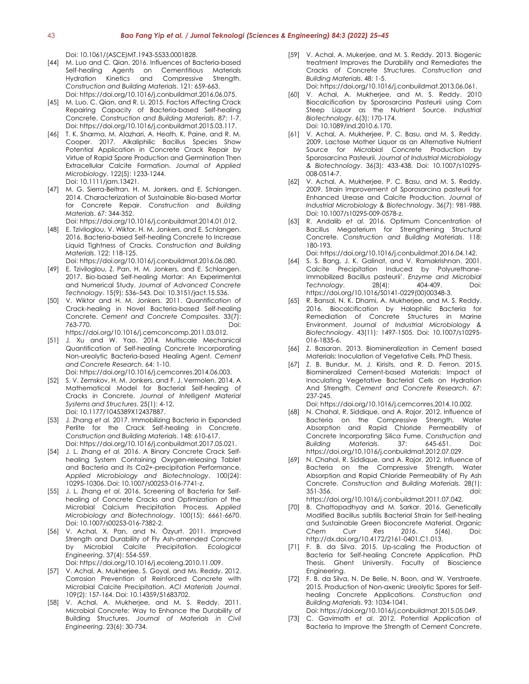Doi: 10.1061/(ASCE)MT.1943-5533.0001828.

- [44] M. Luo and C. Qian. 2016. Influences of Bacteria-based Self-healing Agents on Cementitious Materials Hydration Kinetics and Compressive Strength. *Construction and Building Materials*. 121: 659-663. Doi: https://doi.org/10.1016/j.conbuildmat.2016.06.075.
- [45] M. Luo, C. Qian, and R. Li. 2015. Factors Affecting Crack Repairing Capacity of Bacteria-based Self-healing Concrete. *Construction and Building Materials*. 87: 1-7. Doi: https://doi.org/10.1016/j.conbuildmat.2015.03.117.
- [46] T. K. Sharma, M. Alazhari, A. Heath, K. Paine, and R. M. Cooper. 2017. Alkaliphilic Bacillus Species Show Potential Application in Concrete Crack Repair by Virtue of Rapid Spore Production and Germination Then Extracellular Calcite Formation. *Journal of Applied Microbiology*. 122(5): 1233-1244. Doi: 10.1111/jam.13421.
- [47] M. G. Sierra-Beltran, H. M. Jonkers, and E. Schlangen. 2014. Characterization of Sustainable Bio-based Mortar for Concrete Repair. *Construction and Building Materials*. 67: 344-352.
- Doi: https://doi.org/10.1016/j.conbuildmat.2014.01.012. [48] E. Tziviloglou, V. Wiktor, H. M. Jonkers, and E. Schlangen. 2016. Bacteria-based Self-healing Concrete to Increase Liquid Tightness of Cracks. *Construction and Building Materials*. 122: 118-125.

Doi: https://doi.org/10.1016/j.conbuildmat.2016.06.080.

- [49] E. Tziviloglou, Z. Pan, H. M. Jonkers, and E. Schlangen. 2017. Bio-based Self-healing Mortar: An Experimental and Numerical Study. *Journal of Advanced Concrete Technology*. 15(9): 536–543. Doi: 10.3151/jact.15.536.
- [50] V. Wiktor and H. M. Jonkers. 2011. Quantification of Crack-healing in Novel Bacteria-based Self-healing Concrete. *Cement and Concrete Composites*. 33(7): 763-770. Doi: https://doi.org/10.1016/j.cemconcomp.2011.03.012.
- [51] J. Xu and W. Yao. 2014. Multiscale Mechanical Quantification of Self-healing Concrete Incorporating Non-ureolytic Bacteria-based Healing Agent. *Cement and Concrete Research*. 64: 1-10. Doi: https://doi.org/10.1016/j.cemconres.2014.06.003.
- [52] S. V. Zemskov, H. M. Jonkers, and F. J. Vermolen. 2014. A Mathematical Model for Bacterial Self-healing of Cracks in Concrete. *Journal of Intelligent Material Systems and Structures*. 25(1): 4-12. Doi: 10.1177/1045389X12437887.
- [53] J. Zhang *et al.* 2017. Immobilizing Bacteria in Expanded Perlite for the Crack Self-healing in Concrete. *Construction and Building Materials*. 148: 610-617. Doi: https://doi.org/10.1016/j.conbuildmat.2017.05.021.
- [54] J. L. Zhang *et al.* 2016. A Binary Concrete Crack Selfhealing System Containing Oxygen-releasing Tablet and Bacteria and its Ca2+-precipitation Performance. *Applied Microbiology and Biotechnology*. 100(24): 10295-10306. Doi: 10.1007/s00253-016-7741-z.
- [55] J. L. Zhang *et al.* 2016. Screening of Bacteria for Selfhealing of Concrete Cracks and Optimization of the Microbial Calcium Precipitation Process. *Applied Microbiology and Biotechnology*. 100(15): 6661-6670. Doi: 10.1007/s00253-016-7382-2.
- [56] V. Achal, X. Pan, and N. Özyurt. 2011. Improved Strength and Durability of Fly Ash-amended Concrete by Microbial Calcite Precipitation. *Ecological Engineering*. 37(4): 554-559. Doi: https://doi.org/10.1016/j.ecoleng.2010.11.009.
- [57] V. Achal, A. Mukherjee, S. Goyal, and Ms. Reddy. 2012.
- Corrosion Prevention of Reinforced Concrete with Microbial Calcite Precipitation. *ACI Materials Journal*. 109(2): 157-164. Doi: 10.14359/51683702.
- [58] V. Achal, A. Mukherjee, and M. S. Reddy. 2011. Microbial Concrete: Way to Enhance the Durability of Building Structures. *Journal of Materials in Civil Engineering*. 23(6): 30-734.
- [59] V. Achal, A. Mukerjee, and M. S. Reddy. 2013. Biogenic treatment Improves the Durability and Remediates the Cracks of Concrete Structures. *Construction and Building Materials*. 48: 1-5. Doi: https://doi.org/10.1016/j.conbuildmat.2013.06.061.
- [60] V. Achal, A. Mukherjee, and M. S. Reddy. 2010 Biocalcification by Sporosarcina Pasteurii using Corn Steep Liquor as the Nutrient Source. *Industrial Biotechnology*. 6(3): 170-174. Doi: 10.1089/ind.2010.6.170.
- [61] V. Achal, A. Mukherjee, P. C. Basu, and M. S. Reddy. 2009. Lactose Mother Liquor as an Alternative Nutrient Source for Microbial Concrete Production by Sporosarcina Pasteurii. *Journal of Industrial Microbiology & Biotechnology*. 36(3): 433-438. Doi: 10.1007/s10295- 008-0514-7.
- [62] V. Achal, A. Mukherjee, P. C. Basu, and M. S. Reddy. 2009. Strain Improvement of Sporosarcina pasteurii for Enhanced Urease and Calcite Production. *Journal of Industrial Microbiology & Biotechnology*. 36(7): 981-988. Doi: 10.1007/s10295-009-0578-z.
- [63] R. Andalib *et al.* 2016. Optimum Concentration of Bacillus Megaterium for Strengthening Structural Concrete. *Construction and Building Materials*. 118: 180-193.

Doi: https://doi.org/10.1016/j.conbuildmat.2016.04.142.

- [64] S. S. Bang, J. K. Galinat, and V. Ramakrishnan. 2001. Calcite Precipitation Induced by Polyurethane-Immobilized Bacillus pasteurii'. *Enzyme and Microbial Technology*. 28(4): 404-409. Doi: https://doi.org/10.1016/S0141-0229(00)00348-3.
- [65] R. Bansal, N. K. Dhami, A. Mukherjee, and M. S. Reddy. 2016. Biocalcification by Halophilic Bacteria for Remediation of Concrete Structures in Marine Environment. *Journal of Industrial Microbiology & Biotechnology*. 43(11): 1497-1505. Doi: 10.1007/s10295- 016-1835-6.
- [66] Z. Basaran. 2013. Biomineralization in Cement based Materials: Inoculation of Vegetative Cells. PhD Thesis.
- [67] Z. B. Bundur, M. J. Kirisits, and R. D. Ferron. 2015. Biomineralized Cement-based Materials: Impact of Inoculating Vegetative Bacterial Cells on Hydration And Strength. *Cement and Concrete Research*. 67: 237-245.

Doi: https://doi.org/10.1016/j.cemconres.2014.10.002.

- [68] N. Chahal, R. Siddique, and A. Rajor. 2012. Influence of Bacteria on the Compressive Strength, Water Absorption and Rapid Chloride Permeability of Concrete Incorporating Silica Fume. *Construction and Building Materials*. 37: 645-651. Doi: https://doi.org/10.1016/j.conbuildmat.2012.07.029.
- [69] N. Chahal, R. Siddique, and A. Rajor. 2012. Influence of Bacteria on the Compressive Strength, Water Absorption and Rapid Chloride Permeability of Fly Ash Concrete. *Construction and Building Materials*. 28(1): 351-356. , doi: https://doi.org/10.1016/j.conbuildmat.2011.07.042.
- [70] B. Chattopadhyay and M. Sarkar. 2016. Genetically Modified Bacillus subtilis Bacterial Strain for Self-healing and Sustainable Green Bioconcrete Material. Organic *Chem Curr Res 2016*. 5(46). Doi: http://dx.doi.org/10.4172/2161-0401.C1.013.
- [71] F. B. da Silva. 2015. Up-scaling the Production of Bacteria for Self-healing Concrete Application. PhD Thesis. Ghent University. Faculty of Bioscience Engineering.
- [72] F. B. da Silva, N. De Belie, N. Boon, and W. Verstraete. 2015. Production of Non-axenic Ureolytic Spores for Selfhealing Concrete Applications. *Construction and Building Materials*. 93: 1034-1041. Doi: https://doi.org/10.1016/j.conbuildmat.2015.05.049.
- [73] C. Gavimath *et al.* 2012. Potential Application of Bacteria to Improve the Strength of Cement Concrete.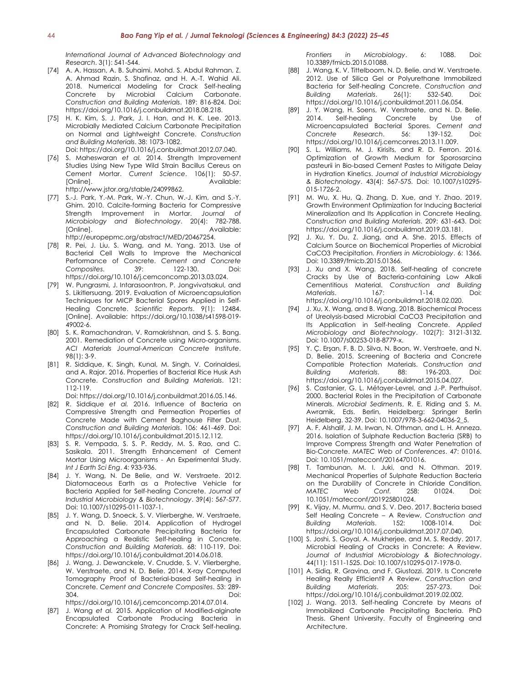*International Journal of Advanced Biotechnology and Research*. 3(1): 541-544.

- [74] A. A. Hassan, A. B. Suhaimi, Mohd. S. Abdul Rahman, Z. A. Ahmad Razin, S. Shafinaz, and H. A.-T. Wahid Ali. 2018. Numerical Modeling for Crack Self-healing Concrete by Microbial Calcium Carbonate. *Construction and Building Materials*. 189: 816-824. Doi: https://doi.org/10.1016/j.conbuildmat.2018.08.218.
- [75] H. K. Kim, S. J. Park, J. I. Han, and H. K. Lee. 2013. Microbially Mediated Calcium Carbonate Precipitation on Normal and Lightweight Concrete. *Construction and Building Materials*. 38: 1073-1082.

Doi: https://doi.org/10.1016/j.conbuildmat.2012.07.040.

- [76] S. Maheswaran *et al.* 2014. Strength Improvement Studies Using New Type Wild Strain Bacillus Cereus on Cement Mortar. *Current Science*. 106(1): 50-57. [Online]. Available: http://www.jstor.org/stable/24099862.
- [77] S.-J. Park, Y.-M. Park, W.-Y. Chun, W.-J. Kim, and S.-Y. Ghim. 2010. Calcite-forming Bacteria for Compressive Strength Improvement in Mortar. *Journal of Microbiology and Biotechnology*. 20(4): 782-788. [Online]. Available: http://europepmc.org/abstract/MED/20467254.
- [78] R. Pei, J. Liu, S. Wang, and M. Yang. 2013. Use of Bacterial Cell Walls to Improve the Mechanical Performance of Concrete. *Cement and Concrete Composites.* 39: 122-130. https://doi.org/10.1016/j.cemconcomp.2013.03.024.
- [79] W. Pungrasmi, J. Intarasoontron, P. Jongvivatsakul, and S. Likitlersuang. 2019. Evaluation of Microencapsulation Techniques for MICP Bacterial Spores Applied in Self-Healing Concrete. *Scientific Reports*. 9(1): 12484. [Online]. Available: https://doi.org/10.1038/s41598-019- 49002-6.
- [80] S. K. Ramachandran, V. Ramakrishnan, and S. S. Bang. 2001. Remediation of Concrete using Micro-organisms. *ACI Materials Journal-American Concrete Institute*. 98(1): 3-9.
- [81] R. Siddique, K. Singh, Kunal, M. Singh, V. Corinaldesi, and A. Rajor. 2016. Properties of Bacterial Rice Husk Ash Concrete. *Construction and Building Materials*. 121: 112-119.

Doi: https://doi.org/10.1016/j.conbuildmat.2016.05.146.

- [82] R. Siddique *et al.* 2016. Influence of Bacteria on Compressive Strength and Permeation Properties of Concrete Made with Cement Baghouse Filter Dust. *Construction and Building Materials*. 106: 461-469. Doi: https://doi.org/10.1016/j.conbuildmat.2015.12.112.
- [83] S. R. Vempada, S. S. P. Reddy, M. S. Rao, and C. Sasikala. 2011. Strength Enhancement of Cement Mortar Using Microorganisms - An Experimental Study. *Int J Earth Sci Eng*. 4: 933-936.
- [84] J. Y. Wang, N. De Belie, and W. Verstraete. 2012. Diatomaceous Earth as a Protective Vehicle for Bacteria Applied for Self-healing Concrete. *Journal of Industrial Microbiology & Biotechnology*. 39(4): 567-577. Doi: 10.1007/s10295-011-1037-1.
- [85] J. Y. Wang, D. Snoeck, S. V. Vlierberghe, W. Verstraete, and N. D. Belie. 2014. Application of Hydrogel Encapsulated Carbonate Precipitating Bacteria for Approaching a Realistic Self-healing in Concrete. *Construction and Building Materials*. 68: 110-119. Doi: https://doi.org/10.1016/j.conbuildmat.2014.06.018.
- [86] J. Wang, J. Dewanckele, V. Cnudde, S. V. Vlierberghe, W. Verstraete, and N. D. Belie. 2014. X-ray Computed Tomography Proof of Bacterial-based Self-healing in Concrete. *Cement and Concrete Composites*. 53: 289- 304. Doi: https://doi.org/10.1016/j.cemconcomp.2014.07.014.
- [87] J. Wang *et al.* 2015. Application of Modified-alginate Encapsulated Carbonate Producing Bacteria in Concrete: A Promising Strategy for Crack Self-healing.

*Frontiers in Microbiology*. 6: 1088. Doi: 10.3389/fmicb.2015.01088.

- [88] J. Wang, K. V. Tittelboom, N. D. Belie, and W. Verstraete. 2012. Use of Silica Gel or Polyurethane Immobilized Bacteria for Self-healing Concrete. *Construction and Building Materials*. 26(1): 532-540. Doi: https://doi.org/10.1016/j.conbuildmat.2011.06.054.
- [89] J. Y. Wang, H. Soens, W. Verstraete, and N. D. Belie. 2014. Self-healing Concrete by Use of Microencapsulated Bacterial Spores. *Cement and Concrete Research*. 56: 139-152. Doi: https://doi.org/10.1016/j.cemconres.2013.11.009.
- [90] S. L. Williams, M. J. Kirisits, and R. D. Ferron. 2016. Optimization of Growth Medium for Sporosarcina pasteurii in Bio-based Cement Pastes to Mitigate Delay in Hydration Kinetics. *Journal of Industrial Microbiology & Biotechnology*. 43(4): 567-575. Doi: 10.1007/s10295- 015-1726-2.
- [91] M. Wu, X. Hu, Q. Zhang, D. Xue, and Y. Zhao. 2019. Growth Environment Optimization for Inducing Bacterial Mineralization and Its Application in Concrete Healing. *Construction and Building Materials*. 209: 631-643. Doi: https://doi.org/10.1016/j.conbuildmat.2019.03.181.
- [92] J. Xu, Y. Du, Z. Jiang, and A. She. 2015. Effects of Calcium Source on Biochemical Properties of Microbial CaCO3 Precipitation. *Frontiers in Microbiology*. 6: 1366. Doi: 10.3389/fmicb.2015.01366.
- [93] J. Xu and X. Wang. 2018. Self-healing of concrete Cracks by Use of Bacteria-containing Low Alkali Cementitious Material. *Construction and Building Materials*. 167: 1-14. Doi: https://doi.org/10.1016/j.conbuildmat.2018.02.020.
- [94] J. Xu, X. Wang, and B. Wang. 2018. Biochemical Process of Ureolysis-based Microbial CaCO3 Precipitation and Its Application in Self-healing Concrete. *Applied Microbiology and Biotechnology*. 102(7): 3121-3132. Doi: 10.1007/s00253-018-8779-x.
- [95] Y. Ç. Erşan, F. B. D. Silva, N. Boon, W. Verstraete, and N. D. Belie. 2015. Screening of Bacteria and Concrete Compatible Protection Materials. *Construction and Building Materials*. 88: 196-203. Doi: https://doi.org/10.1016/j.conbuildmat.2015.04.027.
- [96] S. Castanier, G. L. Métayer-Levrel, and J.-P. Perthuisot. 2000. Bacterial Roles in the Precipitation of Carbonate Minerals. *Microbial Sediments*, R. E. Riding and S. M. Awramik, Eds. Berlin, Heidelberg: Springer Berlin Heidelberg. 32-39. Doi: 10.1007/978-3-662-04036-2\_5.
- [97] A. F. Alshalif, J. M. Irwan, N. Othman, and L. H. Anneza. 2016. Isolation of Sulphate Reduction Bacteria (SRB) to Improve Compress Strength and Water Penetration of Bio-Concrete. *MATEC Web of Conferences*. 47: 01016. Doi: 10.1051/matecconf/20164701016.
- [98] T. Tambunan, M. I. Juki, and N. Othman. 2019. Mechanical Properties of Sulphate Reduction Bacteria on the Durability of Concrete in Chloride Condition. *MATEC Web Conf.* 258: 01024. Doi: 10.1051/matecconf/201925801024.
- [99] K. Vijay, M. Murmu, and S. V. Deo. 2017. Bacteria based Self Healing Concrete – A Review, *Construction and Building Materials*. 152: 1008-1014. Doi: https://doi.org/10.1016/j.conbuildmat.2017.07.040.
- [100] S. Joshi, S. Goyal, A. Mukherjee, and M. S. Reddy. 2017. Microbial Healing of Cracks in Concrete: A Review. *Journal of Industrial Microbiology & Biotechnology*. 44(11): 1511-1525. Doi: 10.1007/s10295-017-1978-0.
- [101] A. Sidiq, R. Gravina, and F. Giustozzi. 2019. Is Concrete Healing Really Efficient? A Review. *Construction and Building Materials*. 205: 257-273. Doi: https://doi.org/10.1016/j.conbuildmat.2019.02.002.
- [102] J. Wang. 2013. Self-healing Concrete by Means of Immobilized Carbonate Precipitating Bacteria. PhD Thesis. Ghent University. Faculty of Engineering and Architecture.